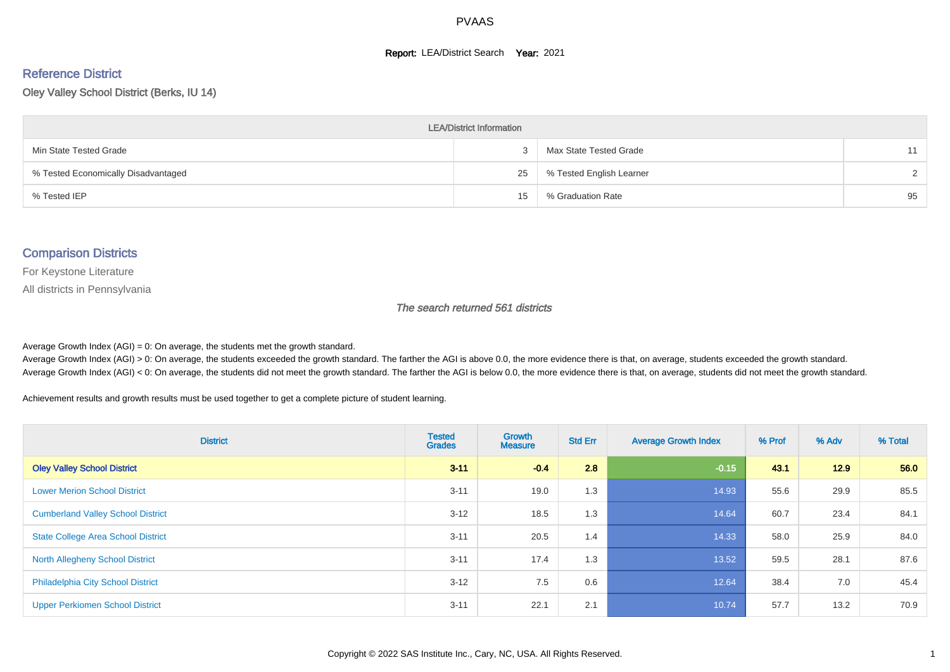#### **Report: LEA/District Search Year: 2021**

# Reference District

Oley Valley School District (Berks, IU 14)

| <b>LEA/District Information</b>     |    |                          |               |  |  |  |  |  |  |  |
|-------------------------------------|----|--------------------------|---------------|--|--|--|--|--|--|--|
| Min State Tested Grade              |    | Max State Tested Grade   | 11            |  |  |  |  |  |  |  |
| % Tested Economically Disadvantaged | 25 | % Tested English Learner | $\mathcal{D}$ |  |  |  |  |  |  |  |
| % Tested IEP                        | 15 | % Graduation Rate        | 95            |  |  |  |  |  |  |  |

#### Comparison Districts

For Keystone Literature

All districts in Pennsylvania

The search returned 561 districts

Average Growth Index  $(AGI) = 0$ : On average, the students met the growth standard.

Average Growth Index (AGI) > 0: On average, the students exceeded the growth standard. The farther the AGI is above 0.0, the more evidence there is that, on average, students exceeded the growth standard. Average Growth Index (AGI) < 0: On average, the students did not meet the growth standard. The farther the AGI is below 0.0, the more evidence there is that, on average, students did not meet the growth standard.

Achievement results and growth results must be used together to get a complete picture of student learning.

| <b>District</b>                           | <b>Tested</b><br><b>Grades</b> | Growth<br><b>Measure</b> | <b>Std Err</b> | <b>Average Growth Index</b> | % Prof | % Adv | % Total |
|-------------------------------------------|--------------------------------|--------------------------|----------------|-----------------------------|--------|-------|---------|
| <b>Oley Valley School District</b>        | $3 - 11$                       | $-0.4$                   | 2.8            | $-0.15$                     | 43.1   | 12.9  | 56.0    |
| <b>Lower Merion School District</b>       | $3 - 11$                       | 19.0                     | 1.3            | 14.93                       | 55.6   | 29.9  | 85.5    |
| <b>Cumberland Valley School District</b>  | $3 - 12$                       | 18.5                     | 1.3            | 14.64                       | 60.7   | 23.4  | 84.1    |
| <b>State College Area School District</b> | $3 - 11$                       | 20.5                     | 1.4            | 14.33                       | 58.0   | 25.9  | 84.0    |
| <b>North Allegheny School District</b>    | $3 - 11$                       | 17.4                     | 1.3            | 13.52                       | 59.5   | 28.1  | 87.6    |
| <b>Philadelphia City School District</b>  | $3 - 12$                       | 7.5                      | 0.6            | 12.64                       | 38.4   | 7.0   | 45.4    |
| <b>Upper Perkiomen School District</b>    | $3 - 11$                       | 22.1                     | 2.1            | 10.74                       | 57.7   | 13.2  | 70.9    |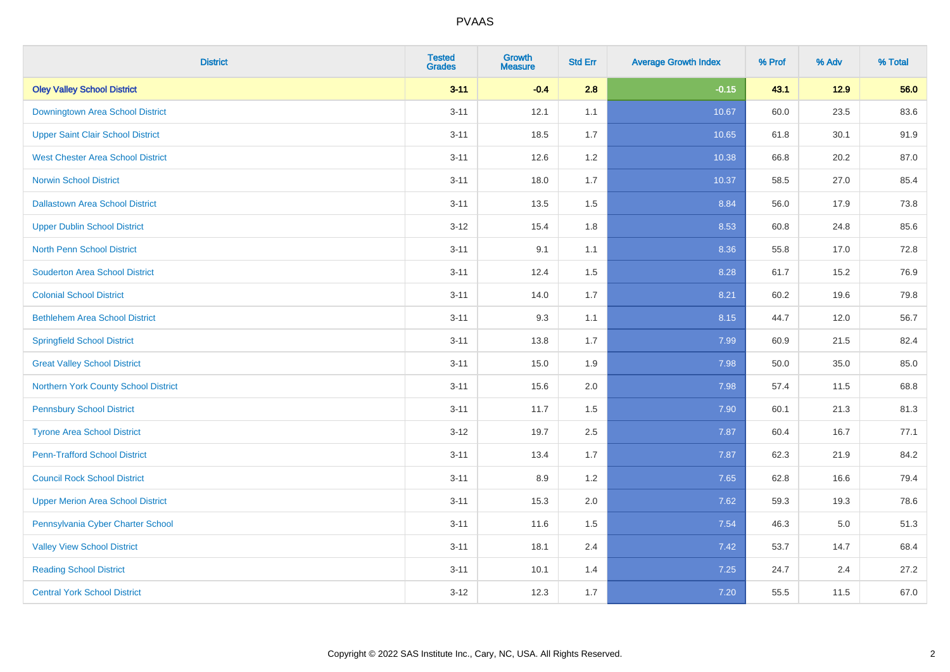| <b>District</b>                          | <b>Tested</b><br><b>Grades</b> | Growth<br><b>Measure</b> | <b>Std Err</b> | <b>Average Growth Index</b> | % Prof | % Adv  | % Total |
|------------------------------------------|--------------------------------|--------------------------|----------------|-----------------------------|--------|--------|---------|
| <b>Oley Valley School District</b>       | $3 - 11$                       | $-0.4$                   | 2.8            | $-0.15$                     | 43.1   | $12.9$ | 56.0    |
| Downingtown Area School District         | $3 - 11$                       | 12.1                     | 1.1            | 10.67                       | 60.0   | 23.5   | 83.6    |
| <b>Upper Saint Clair School District</b> | $3 - 11$                       | 18.5                     | 1.7            | 10.65                       | 61.8   | 30.1   | 91.9    |
| <b>West Chester Area School District</b> | $3 - 11$                       | 12.6                     | $1.2\,$        | 10.38                       | 66.8   | 20.2   | 87.0    |
| <b>Norwin School District</b>            | $3 - 11$                       | 18.0                     | 1.7            | 10.37                       | 58.5   | 27.0   | 85.4    |
| <b>Dallastown Area School District</b>   | $3 - 11$                       | 13.5                     | 1.5            | 8.84                        | 56.0   | 17.9   | 73.8    |
| <b>Upper Dublin School District</b>      | $3 - 12$                       | 15.4                     | 1.8            | 8.53                        | 60.8   | 24.8   | 85.6    |
| <b>North Penn School District</b>        | $3 - 11$                       | 9.1                      | 1.1            | 8.36                        | 55.8   | 17.0   | 72.8    |
| <b>Souderton Area School District</b>    | $3 - 11$                       | 12.4                     | 1.5            | 8.28                        | 61.7   | 15.2   | 76.9    |
| <b>Colonial School District</b>          | $3 - 11$                       | 14.0                     | 1.7            | 8.21                        | 60.2   | 19.6   | 79.8    |
| <b>Bethlehem Area School District</b>    | $3 - 11$                       | 9.3                      | 1.1            | 8.15                        | 44.7   | 12.0   | 56.7    |
| <b>Springfield School District</b>       | $3 - 11$                       | 13.8                     | 1.7            | 7.99                        | 60.9   | 21.5   | 82.4    |
| <b>Great Valley School District</b>      | $3 - 11$                       | 15.0                     | 1.9            | 7.98                        | 50.0   | 35.0   | 85.0    |
| Northern York County School District     | $3 - 11$                       | 15.6                     | 2.0            | 7.98                        | 57.4   | 11.5   | 68.8    |
| <b>Pennsbury School District</b>         | $3 - 11$                       | 11.7                     | 1.5            | 7.90                        | 60.1   | 21.3   | 81.3    |
| <b>Tyrone Area School District</b>       | $3 - 12$                       | 19.7                     | 2.5            | 7.87                        | 60.4   | 16.7   | 77.1    |
| <b>Penn-Trafford School District</b>     | $3 - 11$                       | 13.4                     | 1.7            | 7.87                        | 62.3   | 21.9   | 84.2    |
| <b>Council Rock School District</b>      | $3 - 11$                       | 8.9                      | 1.2            | 7.65                        | 62.8   | 16.6   | 79.4    |
| <b>Upper Merion Area School District</b> | $3 - 11$                       | 15.3                     | 2.0            | 7.62                        | 59.3   | 19.3   | 78.6    |
| Pennsylvania Cyber Charter School        | $3 - 11$                       | 11.6                     | 1.5            | 7.54                        | 46.3   | 5.0    | 51.3    |
| <b>Valley View School District</b>       | $3 - 11$                       | 18.1                     | 2.4            | 7.42                        | 53.7   | 14.7   | 68.4    |
| <b>Reading School District</b>           | $3 - 11$                       | 10.1                     | 1.4            | 7.25                        | 24.7   | 2.4    | 27.2    |
| <b>Central York School District</b>      | $3 - 12$                       | 12.3                     | 1.7            | 7.20                        | 55.5   | 11.5   | 67.0    |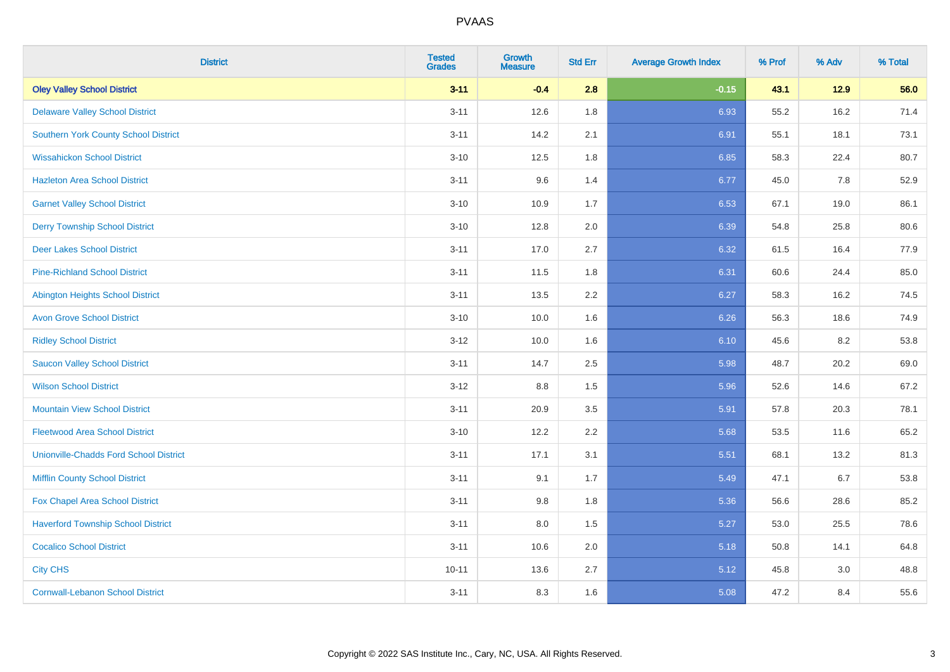| <b>District</b>                               | <b>Tested</b><br><b>Grades</b> | <b>Growth</b><br><b>Measure</b> | <b>Std Err</b> | <b>Average Growth Index</b> | % Prof | % Adv  | % Total |
|-----------------------------------------------|--------------------------------|---------------------------------|----------------|-----------------------------|--------|--------|---------|
| <b>Oley Valley School District</b>            | $3 - 11$                       | $-0.4$                          | 2.8            | $-0.15$                     | 43.1   | $12.9$ | 56.0    |
| <b>Delaware Valley School District</b>        | $3 - 11$                       | 12.6                            | 1.8            | 6.93                        | 55.2   | 16.2   | 71.4    |
| <b>Southern York County School District</b>   | $3 - 11$                       | 14.2                            | 2.1            | 6.91                        | 55.1   | 18.1   | 73.1    |
| <b>Wissahickon School District</b>            | $3 - 10$                       | 12.5                            | 1.8            | 6.85                        | 58.3   | 22.4   | 80.7    |
| <b>Hazleton Area School District</b>          | $3 - 11$                       | 9.6                             | 1.4            | 6.77                        | 45.0   | 7.8    | 52.9    |
| <b>Garnet Valley School District</b>          | $3 - 10$                       | 10.9                            | 1.7            | 6.53                        | 67.1   | 19.0   | 86.1    |
| <b>Derry Township School District</b>         | $3 - 10$                       | 12.8                            | 2.0            | 6.39                        | 54.8   | 25.8   | 80.6    |
| <b>Deer Lakes School District</b>             | $3 - 11$                       | 17.0                            | 2.7            | 6.32                        | 61.5   | 16.4   | 77.9    |
| <b>Pine-Richland School District</b>          | $3 - 11$                       | 11.5                            | 1.8            | 6.31                        | 60.6   | 24.4   | 85.0    |
| <b>Abington Heights School District</b>       | $3 - 11$                       | 13.5                            | 2.2            | 6.27                        | 58.3   | 16.2   | 74.5    |
| <b>Avon Grove School District</b>             | $3 - 10$                       | 10.0                            | 1.6            | 6.26                        | 56.3   | 18.6   | 74.9    |
| <b>Ridley School District</b>                 | $3 - 12$                       | 10.0                            | 1.6            | 6.10                        | 45.6   | 8.2    | 53.8    |
| <b>Saucon Valley School District</b>          | $3 - 11$                       | 14.7                            | 2.5            | 5.98                        | 48.7   | 20.2   | 69.0    |
| <b>Wilson School District</b>                 | $3 - 12$                       | 8.8                             | 1.5            | 5.96                        | 52.6   | 14.6   | 67.2    |
| <b>Mountain View School District</b>          | $3 - 11$                       | 20.9                            | 3.5            | 5.91                        | 57.8   | 20.3   | 78.1    |
| <b>Fleetwood Area School District</b>         | $3 - 10$                       | 12.2                            | 2.2            | 5.68                        | 53.5   | 11.6   | 65.2    |
| <b>Unionville-Chadds Ford School District</b> | $3 - 11$                       | 17.1                            | 3.1            | 5.51                        | 68.1   | 13.2   | 81.3    |
| <b>Mifflin County School District</b>         | $3 - 11$                       | 9.1                             | 1.7            | 5.49                        | 47.1   | 6.7    | 53.8    |
| Fox Chapel Area School District               | $3 - 11$                       | 9.8                             | 1.8            | 5.36                        | 56.6   | 28.6   | 85.2    |
| <b>Haverford Township School District</b>     | $3 - 11$                       | 8.0                             | 1.5            | 5.27                        | 53.0   | 25.5   | 78.6    |
| <b>Cocalico School District</b>               | $3 - 11$                       | 10.6                            | 2.0            | 5.18                        | 50.8   | 14.1   | 64.8    |
| <b>City CHS</b>                               | $10 - 11$                      | 13.6                            | 2.7            | 5.12                        | 45.8   | 3.0    | 48.8    |
| <b>Cornwall-Lebanon School District</b>       | $3 - 11$                       | 8.3                             | 1.6            | 5.08                        | 47.2   | 8.4    | 55.6    |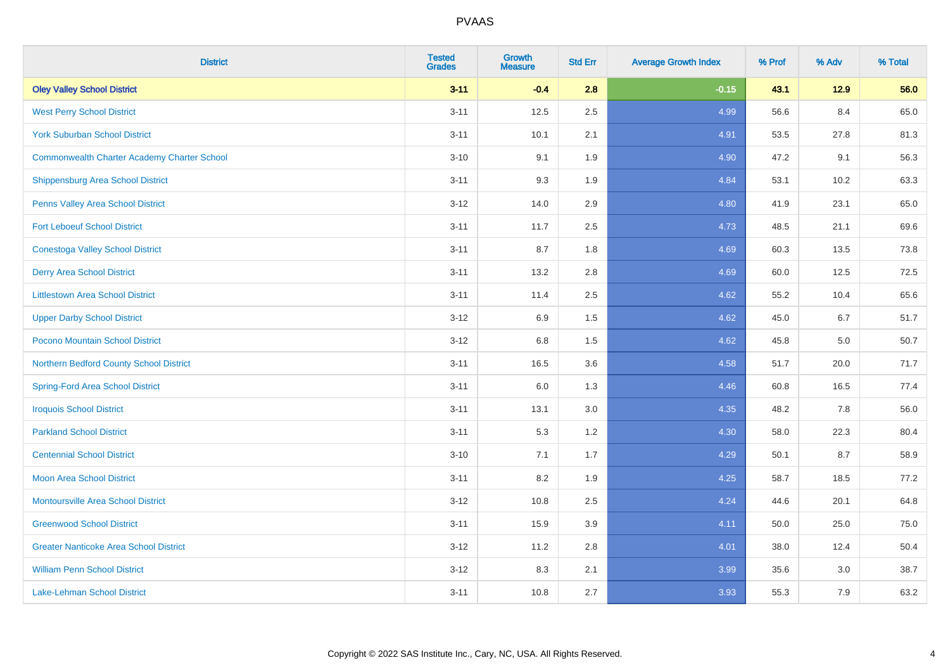| <b>District</b>                                    | <b>Tested</b><br><b>Grades</b> | <b>Growth</b><br><b>Measure</b> | <b>Std Err</b> | <b>Average Growth Index</b> | % Prof | % Adv | % Total |
|----------------------------------------------------|--------------------------------|---------------------------------|----------------|-----------------------------|--------|-------|---------|
| <b>Oley Valley School District</b>                 | $3 - 11$                       | $-0.4$                          | 2.8            | $-0.15$                     | 43.1   | 12.9  | 56.0    |
| <b>West Perry School District</b>                  | $3 - 11$                       | 12.5                            | 2.5            | 4.99                        | 56.6   | 8.4   | 65.0    |
| <b>York Suburban School District</b>               | $3 - 11$                       | 10.1                            | 2.1            | 4.91                        | 53.5   | 27.8  | 81.3    |
| <b>Commonwealth Charter Academy Charter School</b> | $3 - 10$                       | 9.1                             | 1.9            | 4.90                        | 47.2   | 9.1   | 56.3    |
| Shippensburg Area School District                  | $3 - 11$                       | 9.3                             | 1.9            | 4.84                        | 53.1   | 10.2  | 63.3    |
| Penns Valley Area School District                  | $3 - 12$                       | 14.0                            | 2.9            | 4.80                        | 41.9   | 23.1  | 65.0    |
| <b>Fort Leboeuf School District</b>                | $3 - 11$                       | 11.7                            | 2.5            | 4.73                        | 48.5   | 21.1  | 69.6    |
| <b>Conestoga Valley School District</b>            | $3 - 11$                       | 8.7                             | 1.8            | 4.69                        | 60.3   | 13.5  | 73.8    |
| <b>Derry Area School District</b>                  | $3 - 11$                       | 13.2                            | 2.8            | 4.69                        | 60.0   | 12.5  | 72.5    |
| <b>Littlestown Area School District</b>            | $3 - 11$                       | 11.4                            | 2.5            | 4.62                        | 55.2   | 10.4  | 65.6    |
| <b>Upper Darby School District</b>                 | $3 - 12$                       | 6.9                             | 1.5            | 4.62                        | 45.0   | 6.7   | 51.7    |
| Pocono Mountain School District                    | $3 - 12$                       | $6.8\,$                         | 1.5            | 4.62                        | 45.8   | 5.0   | 50.7    |
| Northern Bedford County School District            | $3 - 11$                       | 16.5                            | 3.6            | 4.58                        | 51.7   | 20.0  | 71.7    |
| <b>Spring-Ford Area School District</b>            | $3 - 11$                       | 6.0                             | 1.3            | 4.46                        | 60.8   | 16.5  | 77.4    |
| <b>Iroquois School District</b>                    | $3 - 11$                       | 13.1                            | 3.0            | 4.35                        | 48.2   | 7.8   | 56.0    |
| <b>Parkland School District</b>                    | $3 - 11$                       | 5.3                             | 1.2            | 4.30                        | 58.0   | 22.3  | 80.4    |
| <b>Centennial School District</b>                  | $3 - 10$                       | 7.1                             | 1.7            | 4.29                        | 50.1   | 8.7   | 58.9    |
| <b>Moon Area School District</b>                   | $3 - 11$                       | 8.2                             | 1.9            | 4.25                        | 58.7   | 18.5  | 77.2    |
| <b>Montoursville Area School District</b>          | $3 - 12$                       | 10.8                            | 2.5            | 4.24                        | 44.6   | 20.1  | 64.8    |
| <b>Greenwood School District</b>                   | $3 - 11$                       | 15.9                            | 3.9            | 4.11                        | 50.0   | 25.0  | 75.0    |
| <b>Greater Nanticoke Area School District</b>      | $3-12$                         | 11.2                            | 2.8            | 4.01                        | 38.0   | 12.4  | 50.4    |
| <b>William Penn School District</b>                | $3 - 12$                       | 8.3                             | 2.1            | 3.99                        | 35.6   | 3.0   | 38.7    |
| Lake-Lehman School District                        | $3 - 11$                       | 10.8                            | 2.7            | 3.93                        | 55.3   | 7.9   | 63.2    |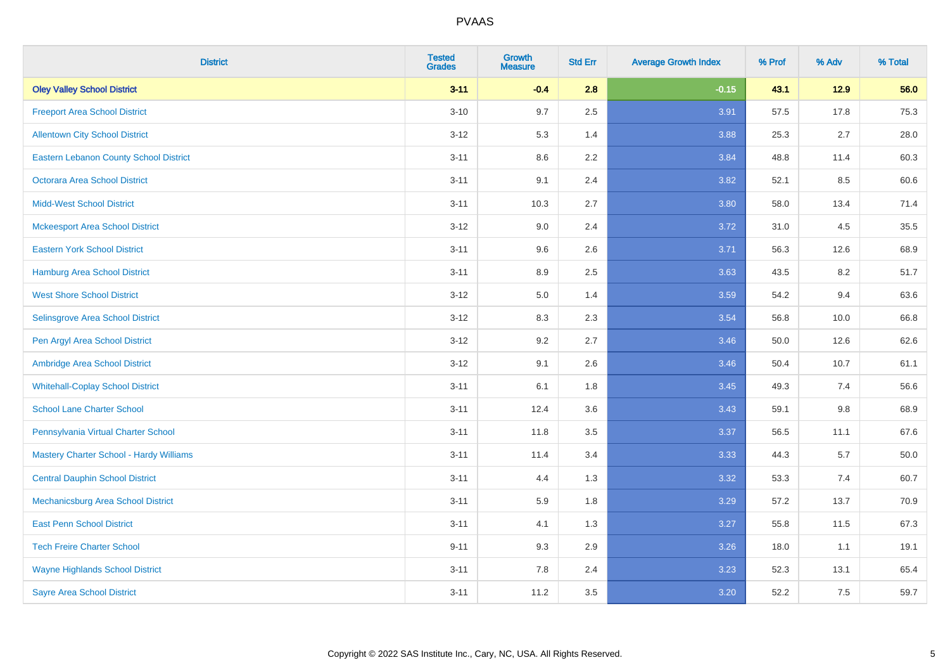| <b>District</b>                               | <b>Tested</b><br><b>Grades</b> | <b>Growth</b><br><b>Measure</b> | <b>Std Err</b> | <b>Average Growth Index</b> | % Prof | % Adv   | % Total  |
|-----------------------------------------------|--------------------------------|---------------------------------|----------------|-----------------------------|--------|---------|----------|
| <b>Oley Valley School District</b>            | $3 - 11$                       | $-0.4$                          | 2.8            | $-0.15$                     | 43.1   | 12.9    | 56.0     |
| <b>Freeport Area School District</b>          | $3 - 10$                       | 9.7                             | 2.5            | 3.91                        | 57.5   | 17.8    | 75.3     |
| <b>Allentown City School District</b>         | $3 - 12$                       | 5.3                             | 1.4            | 3.88                        | 25.3   | 2.7     | 28.0     |
| <b>Eastern Lebanon County School District</b> | $3 - 11$                       | 8.6                             | 2.2            | 3.84                        | 48.8   | 11.4    | 60.3     |
| <b>Octorara Area School District</b>          | $3 - 11$                       | 9.1                             | 2.4            | 3.82                        | 52.1   | 8.5     | 60.6     |
| <b>Midd-West School District</b>              | $3 - 11$                       | 10.3                            | 2.7            | 3.80                        | 58.0   | 13.4    | 71.4     |
| <b>Mckeesport Area School District</b>        | $3 - 12$                       | 9.0                             | 2.4            | 3.72                        | 31.0   | 4.5     | 35.5     |
| <b>Eastern York School District</b>           | $3 - 11$                       | 9.6                             | 2.6            | 3.71                        | 56.3   | 12.6    | 68.9     |
| <b>Hamburg Area School District</b>           | $3 - 11$                       | 8.9                             | 2.5            | 3.63                        | 43.5   | 8.2     | 51.7     |
| <b>West Shore School District</b>             | $3 - 12$                       | 5.0                             | 1.4            | 3.59                        | 54.2   | 9.4     | 63.6     |
| Selinsgrove Area School District              | $3 - 12$                       | 8.3                             | 2.3            | 3.54                        | 56.8   | 10.0    | 66.8     |
| Pen Argyl Area School District                | $3 - 12$                       | 9.2                             | 2.7            | 3.46                        | 50.0   | 12.6    | 62.6     |
| Ambridge Area School District                 | $3 - 12$                       | 9.1                             | 2.6            | 3.46                        | 50.4   | 10.7    | 61.1     |
| <b>Whitehall-Coplay School District</b>       | $3 - 11$                       | 6.1                             | 1.8            | 3.45                        | 49.3   | 7.4     | 56.6     |
| <b>School Lane Charter School</b>             | $3 - 11$                       | 12.4                            | 3.6            | 3.43                        | 59.1   | $9.8\,$ | 68.9     |
| Pennsylvania Virtual Charter School           | $3 - 11$                       | 11.8                            | $3.5\,$        | 3.37                        | 56.5   | 11.1    | 67.6     |
| Mastery Charter School - Hardy Williams       | $3 - 11$                       | 11.4                            | 3.4            | 3.33                        | 44.3   | 5.7     | $50.0\,$ |
| <b>Central Dauphin School District</b>        | $3 - 11$                       | 4.4                             | 1.3            | 3.32                        | 53.3   | 7.4     | 60.7     |
| Mechanicsburg Area School District            | $3 - 11$                       | 5.9                             | 1.8            | 3.29                        | 57.2   | 13.7    | 70.9     |
| <b>East Penn School District</b>              | $3 - 11$                       | 4.1                             | 1.3            | 3.27                        | 55.8   | 11.5    | 67.3     |
| <b>Tech Freire Charter School</b>             | $9 - 11$                       | 9.3                             | 2.9            | 3.26                        | 18.0   | 1.1     | 19.1     |
| <b>Wayne Highlands School District</b>        | $3 - 11$                       | 7.8                             | 2.4            | 3.23                        | 52.3   | 13.1    | 65.4     |
| <b>Sayre Area School District</b>             | $3 - 11$                       | 11.2                            | 3.5            | 3.20                        | 52.2   | 7.5     | 59.7     |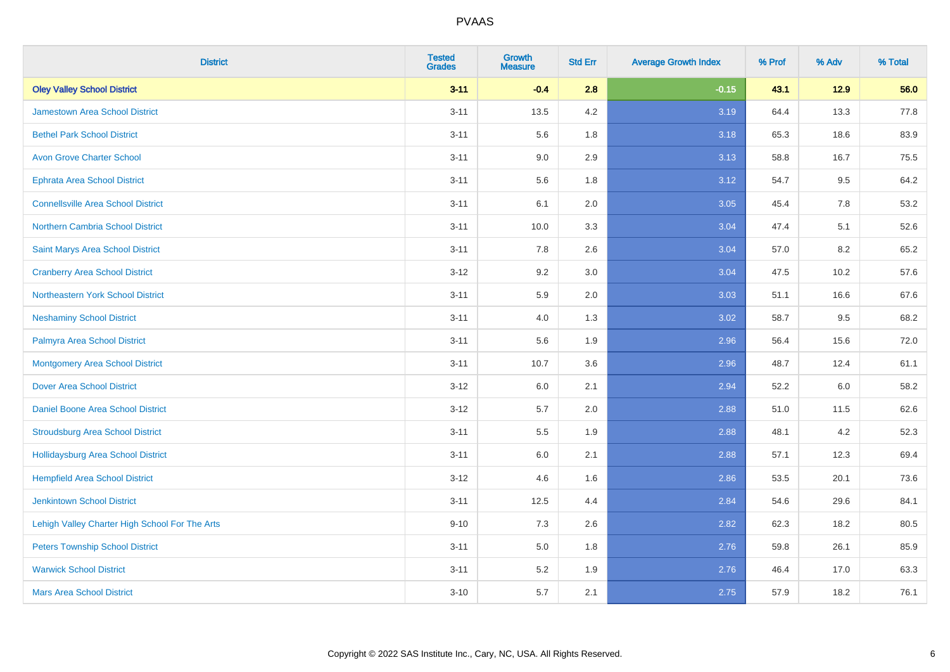| <b>District</b>                                | <b>Tested</b><br><b>Grades</b> | <b>Growth</b><br><b>Measure</b> | <b>Std Err</b> | <b>Average Growth Index</b> | % Prof | % Adv   | % Total |
|------------------------------------------------|--------------------------------|---------------------------------|----------------|-----------------------------|--------|---------|---------|
| <b>Oley Valley School District</b>             | $3 - 11$                       | $-0.4$                          | 2.8            | $-0.15$                     | 43.1   | $12.9$  | 56.0    |
| <b>Jamestown Area School District</b>          | $3 - 11$                       | 13.5                            | 4.2            | 3.19                        | 64.4   | 13.3    | 77.8    |
| <b>Bethel Park School District</b>             | $3 - 11$                       | 5.6                             | 1.8            | 3.18                        | 65.3   | 18.6    | 83.9    |
| <b>Avon Grove Charter School</b>               | $3 - 11$                       | 9.0                             | 2.9            | 3.13                        | 58.8   | 16.7    | 75.5    |
| <b>Ephrata Area School District</b>            | $3 - 11$                       | 5.6                             | 1.8            | 3.12                        | 54.7   | 9.5     | 64.2    |
| <b>Connellsville Area School District</b>      | $3 - 11$                       | 6.1                             | 2.0            | 3.05                        | 45.4   | 7.8     | 53.2    |
| Northern Cambria School District               | $3 - 11$                       | 10.0                            | 3.3            | 3.04                        | 47.4   | 5.1     | 52.6    |
| Saint Marys Area School District               | $3 - 11$                       | 7.8                             | 2.6            | 3.04                        | 57.0   | 8.2     | 65.2    |
| <b>Cranberry Area School District</b>          | $3 - 12$                       | 9.2                             | 3.0            | 3.04                        | 47.5   | 10.2    | 57.6    |
| Northeastern York School District              | $3 - 11$                       | 5.9                             | 2.0            | 3.03                        | 51.1   | 16.6    | 67.6    |
| <b>Neshaminy School District</b>               | $3 - 11$                       | 4.0                             | 1.3            | 3.02                        | 58.7   | 9.5     | 68.2    |
| Palmyra Area School District                   | $3 - 11$                       | 5.6                             | 1.9            | 2.96                        | 56.4   | 15.6    | 72.0    |
| <b>Montgomery Area School District</b>         | $3 - 11$                       | 10.7                            | 3.6            | 2.96                        | 48.7   | 12.4    | 61.1    |
| <b>Dover Area School District</b>              | $3 - 12$                       | 6.0                             | 2.1            | 2.94                        | 52.2   | $6.0\,$ | 58.2    |
| Daniel Boone Area School District              | $3 - 12$                       | 5.7                             | 2.0            | 2.88                        | 51.0   | 11.5    | 62.6    |
| <b>Stroudsburg Area School District</b>        | $3 - 11$                       | 5.5                             | 1.9            | 2.88                        | 48.1   | 4.2     | 52.3    |
| Hollidaysburg Area School District             | $3 - 11$                       | 6.0                             | 2.1            | 2.88                        | 57.1   | 12.3    | 69.4    |
| <b>Hempfield Area School District</b>          | $3 - 12$                       | 4.6                             | 1.6            | 2.86                        | 53.5   | 20.1    | 73.6    |
| <b>Jenkintown School District</b>              | $3 - 11$                       | 12.5                            | 4.4            | 2.84                        | 54.6   | 29.6    | 84.1    |
| Lehigh Valley Charter High School For The Arts | $9 - 10$                       | 7.3                             | 2.6            | 2.82                        | 62.3   | 18.2    | 80.5    |
| <b>Peters Township School District</b>         | $3 - 11$                       | 5.0                             | 1.8            | 2.76                        | 59.8   | 26.1    | 85.9    |
| <b>Warwick School District</b>                 | $3 - 11$                       | 5.2                             | 1.9            | 2.76                        | 46.4   | 17.0    | 63.3    |
| <b>Mars Area School District</b>               | $3 - 10$                       | 5.7                             | 2.1            | 2.75                        | 57.9   | 18.2    | 76.1    |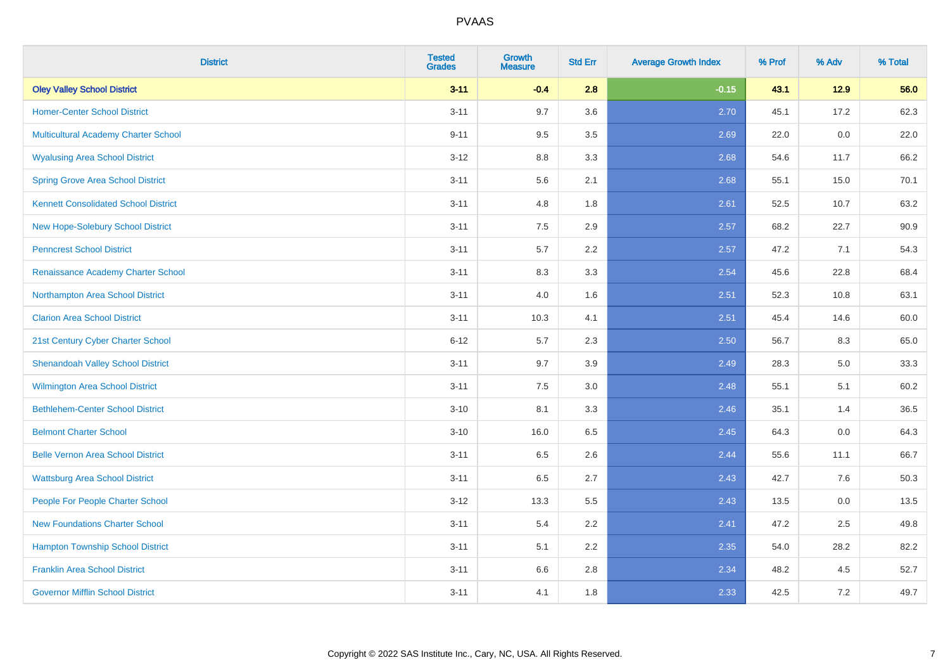| <b>District</b>                             | <b>Tested</b><br><b>Grades</b> | <b>Growth</b><br><b>Measure</b> | <b>Std Err</b> | <b>Average Growth Index</b> | % Prof | % Adv  | % Total |
|---------------------------------------------|--------------------------------|---------------------------------|----------------|-----------------------------|--------|--------|---------|
| <b>Oley Valley School District</b>          | $3 - 11$                       | $-0.4$                          | 2.8            | $-0.15$                     | 43.1   | $12.9$ | 56.0    |
| <b>Homer-Center School District</b>         | $3 - 11$                       | 9.7                             | 3.6            | 2.70                        | 45.1   | 17.2   | 62.3    |
| Multicultural Academy Charter School        | $9 - 11$                       | 9.5                             | 3.5            | 2.69                        | 22.0   | 0.0    | 22.0    |
| <b>Wyalusing Area School District</b>       | $3 - 12$                       | $8.8\,$                         | 3.3            | 2.68                        | 54.6   | 11.7   | 66.2    |
| <b>Spring Grove Area School District</b>    | $3 - 11$                       | 5.6                             | 2.1            | 2.68                        | 55.1   | 15.0   | 70.1    |
| <b>Kennett Consolidated School District</b> | $3 - 11$                       | 4.8                             | 1.8            | 2.61                        | 52.5   | 10.7   | 63.2    |
| New Hope-Solebury School District           | $3 - 11$                       | $7.5\,$                         | 2.9            | 2.57                        | 68.2   | 22.7   | 90.9    |
| <b>Penncrest School District</b>            | $3 - 11$                       | 5.7                             | 2.2            | 2.57                        | 47.2   | 7.1    | 54.3    |
| Renaissance Academy Charter School          | $3 - 11$                       | 8.3                             | 3.3            | 2.54                        | 45.6   | 22.8   | 68.4    |
| Northampton Area School District            | $3 - 11$                       | 4.0                             | 1.6            | 2.51                        | 52.3   | 10.8   | 63.1    |
| <b>Clarion Area School District</b>         | $3 - 11$                       | 10.3                            | 4.1            | 2.51                        | 45.4   | 14.6   | 60.0    |
| 21st Century Cyber Charter School           | $6 - 12$                       | 5.7                             | 2.3            | 2.50                        | 56.7   | 8.3    | 65.0    |
| <b>Shenandoah Valley School District</b>    | $3 - 11$                       | 9.7                             | 3.9            | 2.49                        | 28.3   | 5.0    | 33.3    |
| Wilmington Area School District             | $3 - 11$                       | 7.5                             | 3.0            | 2.48                        | 55.1   | 5.1    | 60.2    |
| <b>Bethlehem-Center School District</b>     | $3 - 10$                       | 8.1                             | 3.3            | 2.46                        | 35.1   | 1.4    | 36.5    |
| <b>Belmont Charter School</b>               | $3 - 10$                       | 16.0                            | 6.5            | 2.45                        | 64.3   | 0.0    | 64.3    |
| <b>Belle Vernon Area School District</b>    | $3 - 11$                       | 6.5                             | 2.6            | 2.44                        | 55.6   | 11.1   | 66.7    |
| <b>Wattsburg Area School District</b>       | $3 - 11$                       | 6.5                             | 2.7            | 2.43                        | 42.7   | 7.6    | 50.3    |
| People For People Charter School            | $3 - 12$                       | 13.3                            | 5.5            | 2.43                        | 13.5   | 0.0    | 13.5    |
| <b>New Foundations Charter School</b>       | $3 - 11$                       | 5.4                             | 2.2            | 2.41                        | 47.2   | 2.5    | 49.8    |
| <b>Hampton Township School District</b>     | $3 - 11$                       | 5.1                             | 2.2            | 2.35                        | 54.0   | 28.2   | 82.2    |
| <b>Franklin Area School District</b>        | $3 - 11$                       | 6.6                             | 2.8            | 2.34                        | 48.2   | 4.5    | 52.7    |
| <b>Governor Mifflin School District</b>     | $3 - 11$                       | 4.1                             | 1.8            | 2.33                        | 42.5   | 7.2    | 49.7    |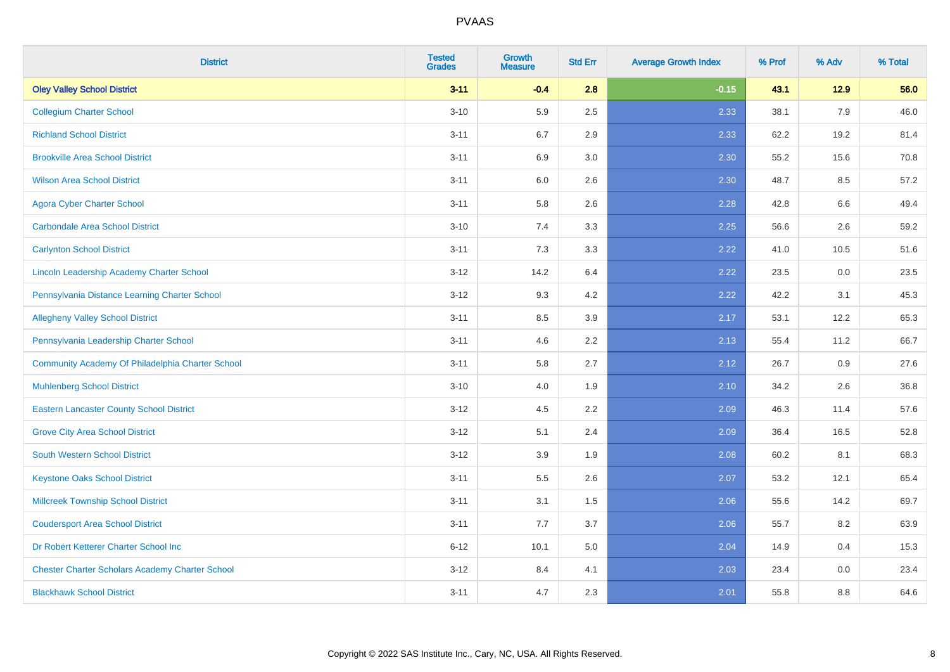| <b>District</b>                                        | <b>Tested</b><br><b>Grades</b> | <b>Growth</b><br><b>Measure</b> | <b>Std Err</b> | <b>Average Growth Index</b> | % Prof | % Adv   | % Total |
|--------------------------------------------------------|--------------------------------|---------------------------------|----------------|-----------------------------|--------|---------|---------|
| <b>Oley Valley School District</b>                     | $3 - 11$                       | $-0.4$                          | 2.8            | $-0.15$                     | 43.1   | $12.9$  | 56.0    |
| <b>Collegium Charter School</b>                        | $3 - 10$                       | 5.9                             | 2.5            | 2.33                        | 38.1   | 7.9     | 46.0    |
| <b>Richland School District</b>                        | $3 - 11$                       | 6.7                             | 2.9            | 2.33                        | 62.2   | 19.2    | 81.4    |
| <b>Brookville Area School District</b>                 | $3 - 11$                       | 6.9                             | $3.0\,$        | 2.30                        | 55.2   | 15.6    | 70.8    |
| <b>Wilson Area School District</b>                     | $3 - 11$                       | 6.0                             | 2.6            | 2.30                        | 48.7   | 8.5     | 57.2    |
| <b>Agora Cyber Charter School</b>                      | $3 - 11$                       | 5.8                             | 2.6            | 2.28                        | 42.8   | 6.6     | 49.4    |
| <b>Carbondale Area School District</b>                 | $3 - 10$                       | 7.4                             | 3.3            | 2.25                        | 56.6   | 2.6     | 59.2    |
| <b>Carlynton School District</b>                       | $3 - 11$                       | 7.3                             | 3.3            | 2.22                        | 41.0   | 10.5    | 51.6    |
| Lincoln Leadership Academy Charter School              | $3-12$                         | 14.2                            | 6.4            | 2.22                        | 23.5   | $0.0\,$ | 23.5    |
| Pennsylvania Distance Learning Charter School          | $3 - 12$                       | 9.3                             | 4.2            | 2.22                        | 42.2   | 3.1     | 45.3    |
| <b>Allegheny Valley School District</b>                | $3 - 11$                       | 8.5                             | 3.9            | 2.17                        | 53.1   | 12.2    | 65.3    |
| Pennsylvania Leadership Charter School                 | $3 - 11$                       | 4.6                             | 2.2            | 2.13                        | 55.4   | 11.2    | 66.7    |
| Community Academy Of Philadelphia Charter School       | $3 - 11$                       | 5.8                             | 2.7            | 2.12                        | 26.7   | 0.9     | 27.6    |
| <b>Muhlenberg School District</b>                      | $3 - 10$                       | 4.0                             | 1.9            | 2.10                        | 34.2   | 2.6     | 36.8    |
| <b>Eastern Lancaster County School District</b>        | $3 - 12$                       | 4.5                             | 2.2            | 2.09                        | 46.3   | 11.4    | 57.6    |
| <b>Grove City Area School District</b>                 | $3 - 12$                       | 5.1                             | 2.4            | 2.09                        | 36.4   | 16.5    | 52.8    |
| <b>South Western School District</b>                   | $3 - 12$                       | 3.9                             | 1.9            | 2.08                        | 60.2   | 8.1     | 68.3    |
| <b>Keystone Oaks School District</b>                   | $3 - 11$                       | 5.5                             | 2.6            | 2.07                        | 53.2   | 12.1    | 65.4    |
| <b>Millcreek Township School District</b>              | $3 - 11$                       | 3.1                             | 1.5            | 2.06                        | 55.6   | 14.2    | 69.7    |
| <b>Coudersport Area School District</b>                | $3 - 11$                       | 7.7                             | 3.7            | 2.06                        | 55.7   | 8.2     | 63.9    |
| Dr Robert Ketterer Charter School Inc                  | $6 - 12$                       | 10.1                            | 5.0            | 2.04                        | 14.9   | 0.4     | 15.3    |
| <b>Chester Charter Scholars Academy Charter School</b> | $3 - 12$                       | 8.4                             | 4.1            | 2.03                        | 23.4   | 0.0     | 23.4    |
| <b>Blackhawk School District</b>                       | $3 - 11$                       | 4.7                             | 2.3            | 2.01                        | 55.8   | 8.8     | 64.6    |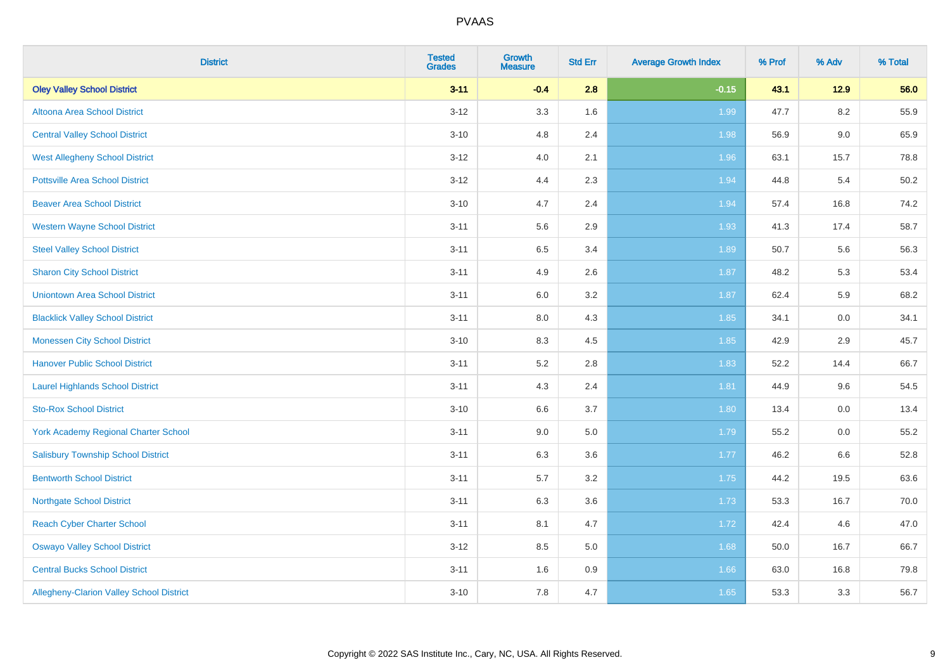| <b>District</b>                                 | <b>Tested</b><br><b>Grades</b> | <b>Growth</b><br><b>Measure</b> | <b>Std Err</b> | <b>Average Growth Index</b> | % Prof | % Adv   | % Total |
|-------------------------------------------------|--------------------------------|---------------------------------|----------------|-----------------------------|--------|---------|---------|
| <b>Oley Valley School District</b>              | $3 - 11$                       | $-0.4$                          | 2.8            | $-0.15$                     | 43.1   | $12.9$  | 56.0    |
| Altoona Area School District                    | $3 - 12$                       | 3.3                             | 1.6            | 1.99                        | 47.7   | 8.2     | 55.9    |
| <b>Central Valley School District</b>           | $3 - 10$                       | 4.8                             | 2.4            | 1.98                        | 56.9   | $9.0\,$ | 65.9    |
| <b>West Allegheny School District</b>           | $3 - 12$                       | 4.0                             | 2.1            | 1.96                        | 63.1   | 15.7    | 78.8    |
| <b>Pottsville Area School District</b>          | $3 - 12$                       | 4.4                             | 2.3            | 1.94                        | 44.8   | 5.4     | 50.2    |
| <b>Beaver Area School District</b>              | $3 - 10$                       | 4.7                             | 2.4            | 1.94                        | 57.4   | 16.8    | 74.2    |
| <b>Western Wayne School District</b>            | $3 - 11$                       | 5.6                             | 2.9            | 1.93                        | 41.3   | 17.4    | 58.7    |
| <b>Steel Valley School District</b>             | $3 - 11$                       | 6.5                             | 3.4            | 1.89                        | 50.7   | 5.6     | 56.3    |
| <b>Sharon City School District</b>              | $3 - 11$                       | 4.9                             | 2.6            | 1.87                        | 48.2   | 5.3     | 53.4    |
| <b>Uniontown Area School District</b>           | $3 - 11$                       | 6.0                             | 3.2            | 1.87                        | 62.4   | 5.9     | 68.2    |
| <b>Blacklick Valley School District</b>         | $3 - 11$                       | 8.0                             | 4.3            | 1.85                        | 34.1   | 0.0     | 34.1    |
| <b>Monessen City School District</b>            | $3 - 10$                       | 8.3                             | 4.5            | 1.85                        | 42.9   | 2.9     | 45.7    |
| <b>Hanover Public School District</b>           | $3 - 11$                       | 5.2                             | 2.8            | 1.83                        | 52.2   | 14.4    | 66.7    |
| <b>Laurel Highlands School District</b>         | $3 - 11$                       | 4.3                             | 2.4            | 1.81                        | 44.9   | 9.6     | 54.5    |
| <b>Sto-Rox School District</b>                  | $3 - 10$                       | 6.6                             | 3.7            | 1.80                        | 13.4   | $0.0\,$ | 13.4    |
| <b>York Academy Regional Charter School</b>     | $3 - 11$                       | 9.0                             | 5.0            | 1.79                        | 55.2   | 0.0     | 55.2    |
| <b>Salisbury Township School District</b>       | $3 - 11$                       | 6.3                             | 3.6            | 1.77                        | 46.2   | 6.6     | 52.8    |
| <b>Bentworth School District</b>                | $3 - 11$                       | 5.7                             | 3.2            | 1.75                        | 44.2   | 19.5    | 63.6    |
| <b>Northgate School District</b>                | $3 - 11$                       | 6.3                             | 3.6            | 1.73                        | 53.3   | 16.7    | 70.0    |
| <b>Reach Cyber Charter School</b>               | $3 - 11$                       | 8.1                             | 4.7            | 1.72                        | 42.4   | 4.6     | 47.0    |
| <b>Oswayo Valley School District</b>            | $3 - 12$                       | 8.5                             | 5.0            | 1.68                        | 50.0   | 16.7    | 66.7    |
| <b>Central Bucks School District</b>            | $3 - 11$                       | 1.6                             | 0.9            | 1.66                        | 63.0   | 16.8    | 79.8    |
| <b>Allegheny-Clarion Valley School District</b> | $3 - 10$                       | 7.8                             | 4.7            | 1.65                        | 53.3   | 3.3     | 56.7    |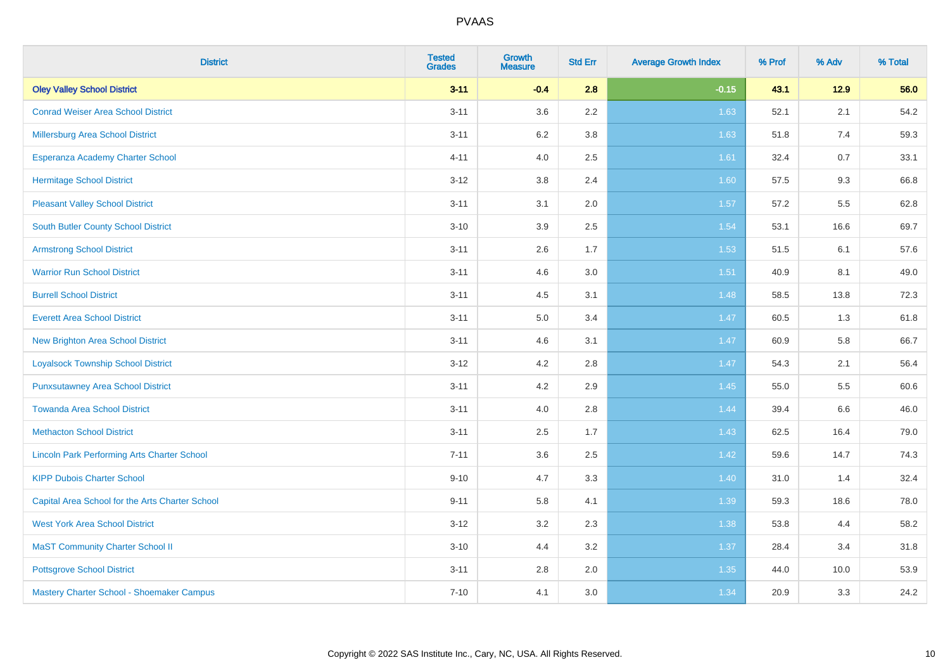| <b>District</b>                                    | <b>Tested</b><br><b>Grades</b> | Growth<br><b>Measure</b> | <b>Std Err</b> | <b>Average Growth Index</b> | % Prof | % Adv  | % Total |
|----------------------------------------------------|--------------------------------|--------------------------|----------------|-----------------------------|--------|--------|---------|
| <b>Oley Valley School District</b>                 | $3 - 11$                       | $-0.4$                   | 2.8            | $-0.15$                     | 43.1   | $12.9$ | 56.0    |
| <b>Conrad Weiser Area School District</b>          | $3 - 11$                       | 3.6                      | 2.2            | 1.63                        | 52.1   | 2.1    | 54.2    |
| Millersburg Area School District                   | $3 - 11$                       | 6.2                      | 3.8            | 1.63                        | 51.8   | 7.4    | 59.3    |
| Esperanza Academy Charter School                   | $4 - 11$                       | 4.0                      | 2.5            | 1.61                        | 32.4   | 0.7    | 33.1    |
| <b>Hermitage School District</b>                   | $3 - 12$                       | 3.8                      | 2.4            | 1.60                        | 57.5   | 9.3    | 66.8    |
| <b>Pleasant Valley School District</b>             | $3 - 11$                       | 3.1                      | 2.0            | 1.57                        | 57.2   | 5.5    | 62.8    |
| South Butler County School District                | $3 - 10$                       | 3.9                      | 2.5            | 1.54                        | 53.1   | 16.6   | 69.7    |
| <b>Armstrong School District</b>                   | $3 - 11$                       | 2.6                      | 1.7            | 1.53                        | 51.5   | 6.1    | 57.6    |
| <b>Warrior Run School District</b>                 | $3 - 11$                       | 4.6                      | 3.0            | 1.51                        | 40.9   | 8.1    | 49.0    |
| <b>Burrell School District</b>                     | $3 - 11$                       | 4.5                      | 3.1            | 1.48                        | 58.5   | 13.8   | 72.3    |
| <b>Everett Area School District</b>                | $3 - 11$                       | 5.0                      | 3.4            | 1.47                        | 60.5   | 1.3    | 61.8    |
| <b>New Brighton Area School District</b>           | $3 - 11$                       | 4.6                      | 3.1            | 1.47                        | 60.9   | 5.8    | 66.7    |
| <b>Loyalsock Township School District</b>          | $3 - 12$                       | 4.2                      | 2.8            | 1.47                        | 54.3   | 2.1    | 56.4    |
| <b>Punxsutawney Area School District</b>           | $3 - 11$                       | 4.2                      | 2.9            | 1.45                        | 55.0   | 5.5    | 60.6    |
| <b>Towanda Area School District</b>                | $3 - 11$                       | 4.0                      | 2.8            | 1.44                        | 39.4   | 6.6    | 46.0    |
| <b>Methacton School District</b>                   | $3 - 11$                       | 2.5                      | 1.7            | 1.43                        | 62.5   | 16.4   | 79.0    |
| <b>Lincoln Park Performing Arts Charter School</b> | $7 - 11$                       | 3.6                      | 2.5            | 1.42                        | 59.6   | 14.7   | 74.3    |
| <b>KIPP Dubois Charter School</b>                  | $9 - 10$                       | 4.7                      | 3.3            | 1.40                        | 31.0   | 1.4    | 32.4    |
| Capital Area School for the Arts Charter School    | $9 - 11$                       | 5.8                      | 4.1            | 1.39                        | 59.3   | 18.6   | 78.0    |
| <b>West York Area School District</b>              | $3 - 12$                       | 3.2                      | 2.3            | 1.38                        | 53.8   | 4.4    | 58.2    |
| <b>MaST Community Charter School II</b>            | $3 - 10$                       | 4.4                      | 3.2            | 1.37                        | 28.4   | 3.4    | 31.8    |
| <b>Pottsgrove School District</b>                  | $3 - 11$                       | 2.8                      | 2.0            | 1.35                        | 44.0   | 10.0   | 53.9    |
| Mastery Charter School - Shoemaker Campus          | $7 - 10$                       | 4.1                      | 3.0            | 1.34                        | 20.9   | 3.3    | 24.2    |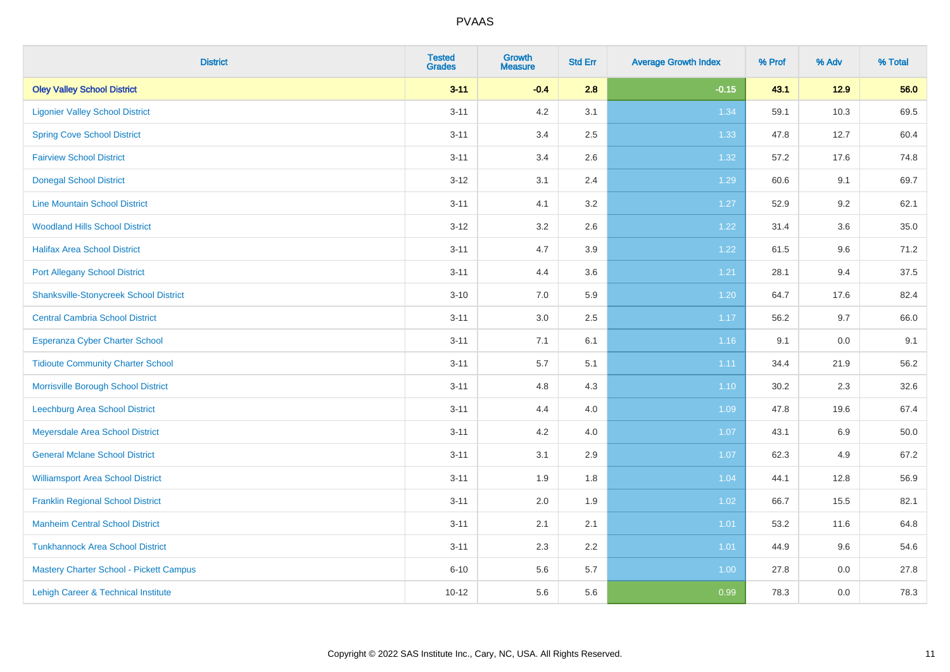| <b>District</b>                               | <b>Tested</b><br><b>Grades</b> | <b>Growth</b><br><b>Measure</b> | <b>Std Err</b> | <b>Average Growth Index</b> | % Prof | % Adv   | % Total |
|-----------------------------------------------|--------------------------------|---------------------------------|----------------|-----------------------------|--------|---------|---------|
| <b>Oley Valley School District</b>            | $3 - 11$                       | $-0.4$                          | 2.8            | $-0.15$                     | 43.1   | 12.9    | 56.0    |
| <b>Ligonier Valley School District</b>        | $3 - 11$                       | 4.2                             | 3.1            | 1.34                        | 59.1   | 10.3    | 69.5    |
| <b>Spring Cove School District</b>            | $3 - 11$                       | 3.4                             | 2.5            | 1.33                        | 47.8   | 12.7    | 60.4    |
| <b>Fairview School District</b>               | $3 - 11$                       | 3.4                             | 2.6            | 1.32                        | 57.2   | 17.6    | 74.8    |
| <b>Donegal School District</b>                | $3 - 12$                       | 3.1                             | 2.4            | 1.29                        | 60.6   | 9.1     | 69.7    |
| <b>Line Mountain School District</b>          | $3 - 11$                       | 4.1                             | 3.2            | 1.27                        | 52.9   | 9.2     | 62.1    |
| <b>Woodland Hills School District</b>         | $3 - 12$                       | 3.2                             | 2.6            | 1.22                        | 31.4   | 3.6     | 35.0    |
| <b>Halifax Area School District</b>           | $3 - 11$                       | 4.7                             | 3.9            | 1.22                        | 61.5   | 9.6     | 71.2    |
| <b>Port Allegany School District</b>          | $3 - 11$                       | 4.4                             | 3.6            | 1.21                        | 28.1   | 9.4     | 37.5    |
| <b>Shanksville-Stonycreek School District</b> | $3 - 10$                       | 7.0                             | 5.9            | 1.20                        | 64.7   | 17.6    | 82.4    |
| <b>Central Cambria School District</b>        | $3 - 11$                       | 3.0                             | 2.5            | 1.17                        | 56.2   | 9.7     | 66.0    |
| Esperanza Cyber Charter School                | $3 - 11$                       | 7.1                             | 6.1            | 1.16                        | 9.1    | 0.0     | 9.1     |
| <b>Tidioute Community Charter School</b>      | $3 - 11$                       | 5.7                             | 5.1            | 1.11                        | 34.4   | 21.9    | 56.2    |
| Morrisville Borough School District           | $3 - 11$                       | 4.8                             | 4.3            | 1.10                        | 30.2   | 2.3     | 32.6    |
| Leechburg Area School District                | $3 - 11$                       | 4.4                             | 4.0            | 1.09                        | 47.8   | 19.6    | 67.4    |
| Meyersdale Area School District               | $3 - 11$                       | 4.2                             | 4.0            | 1.07                        | 43.1   | 6.9     | 50.0    |
| <b>General Mclane School District</b>         | $3 - 11$                       | 3.1                             | 2.9            | 1.07                        | 62.3   | 4.9     | 67.2    |
| <b>Williamsport Area School District</b>      | $3 - 11$                       | 1.9                             | 1.8            | 1.04                        | 44.1   | 12.8    | 56.9    |
| <b>Franklin Regional School District</b>      | $3 - 11$                       | 2.0                             | 1.9            | 1.02                        | 66.7   | 15.5    | 82.1    |
| <b>Manheim Central School District</b>        | $3 - 11$                       | 2.1                             | 2.1            | 1.01                        | 53.2   | 11.6    | 64.8    |
| <b>Tunkhannock Area School District</b>       | $3 - 11$                       | 2.3                             | 2.2            | 1.01                        | 44.9   | 9.6     | 54.6    |
| Mastery Charter School - Pickett Campus       | $6 - 10$                       | 5.6                             | 5.7            | 1.00                        | 27.8   | $0.0\,$ | 27.8    |
| Lehigh Career & Technical Institute           | $10 - 12$                      | 5.6                             | 5.6            | 0.99                        | 78.3   | 0.0     | 78.3    |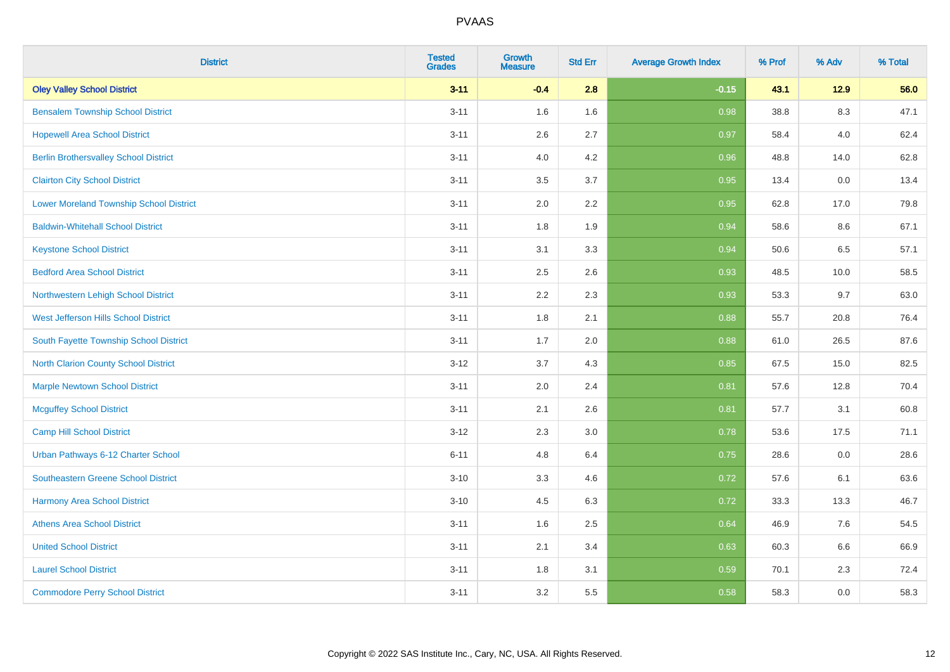| <b>District</b>                                | <b>Tested</b><br><b>Grades</b> | <b>Growth</b><br><b>Measure</b> | <b>Std Err</b> | <b>Average Growth Index</b> | % Prof | % Adv   | % Total |
|------------------------------------------------|--------------------------------|---------------------------------|----------------|-----------------------------|--------|---------|---------|
| <b>Oley Valley School District</b>             | $3 - 11$                       | $-0.4$                          | 2.8            | $-0.15$                     | 43.1   | 12.9    | 56.0    |
| <b>Bensalem Township School District</b>       | $3 - 11$                       | 1.6                             | 1.6            | 0.98                        | 38.8   | $8.3\,$ | 47.1    |
| <b>Hopewell Area School District</b>           | $3 - 11$                       | 2.6                             | 2.7            | 0.97                        | 58.4   | 4.0     | 62.4    |
| <b>Berlin Brothersvalley School District</b>   | $3 - 11$                       | 4.0                             | 4.2            | 0.96                        | 48.8   | 14.0    | 62.8    |
| <b>Clairton City School District</b>           | $3 - 11$                       | 3.5                             | 3.7            | 0.95                        | 13.4   | 0.0     | 13.4    |
| <b>Lower Moreland Township School District</b> | $3 - 11$                       | 2.0                             | 2.2            | 0.95                        | 62.8   | 17.0    | 79.8    |
| <b>Baldwin-Whitehall School District</b>       | $3 - 11$                       | 1.8                             | 1.9            | 0.94                        | 58.6   | 8.6     | 67.1    |
| <b>Keystone School District</b>                | $3 - 11$                       | 3.1                             | 3.3            | 0.94                        | 50.6   | 6.5     | 57.1    |
| <b>Bedford Area School District</b>            | $3 - 11$                       | 2.5                             | 2.6            | 0.93                        | 48.5   | 10.0    | 58.5    |
| Northwestern Lehigh School District            | $3 - 11$                       | 2.2                             | 2.3            | 0.93                        | 53.3   | 9.7     | 63.0    |
| West Jefferson Hills School District           | $3 - 11$                       | 1.8                             | 2.1            | 0.88                        | 55.7   | 20.8    | 76.4    |
| South Fayette Township School District         | $3 - 11$                       | 1.7                             | 2.0            | 0.88                        | 61.0   | 26.5    | 87.6    |
| <b>North Clarion County School District</b>    | $3 - 12$                       | 3.7                             | 4.3            | 0.85                        | 67.5   | 15.0    | 82.5    |
| <b>Marple Newtown School District</b>          | $3 - 11$                       | 2.0                             | 2.4            | 0.81                        | 57.6   | 12.8    | 70.4    |
| <b>Mcguffey School District</b>                | $3 - 11$                       | 2.1                             | 2.6            | 0.81                        | 57.7   | 3.1     | 60.8    |
| <b>Camp Hill School District</b>               | $3 - 12$                       | 2.3                             | 3.0            | 0.78                        | 53.6   | 17.5    | 71.1    |
| Urban Pathways 6-12 Charter School             | $6 - 11$                       | 4.8                             | 6.4            | 0.75                        | 28.6   | 0.0     | 28.6    |
| Southeastern Greene School District            | $3 - 10$                       | 3.3                             | 4.6            | $\overline{0.72}$           | 57.6   | 6.1     | 63.6    |
| <b>Harmony Area School District</b>            | $3 - 10$                       | 4.5                             | 6.3            | 0.72                        | 33.3   | 13.3    | 46.7    |
| <b>Athens Area School District</b>             | $3 - 11$                       | 1.6                             | 2.5            | 0.64                        | 46.9   | 7.6     | 54.5    |
| <b>United School District</b>                  | $3 - 11$                       | 2.1                             | 3.4            | 0.63                        | 60.3   | 6.6     | 66.9    |
| <b>Laurel School District</b>                  | $3 - 11$                       | 1.8                             | 3.1            | 0.59                        | 70.1   | 2.3     | 72.4    |
| <b>Commodore Perry School District</b>         | $3 - 11$                       | 3.2                             | 5.5            | 0.58                        | 58.3   | 0.0     | 58.3    |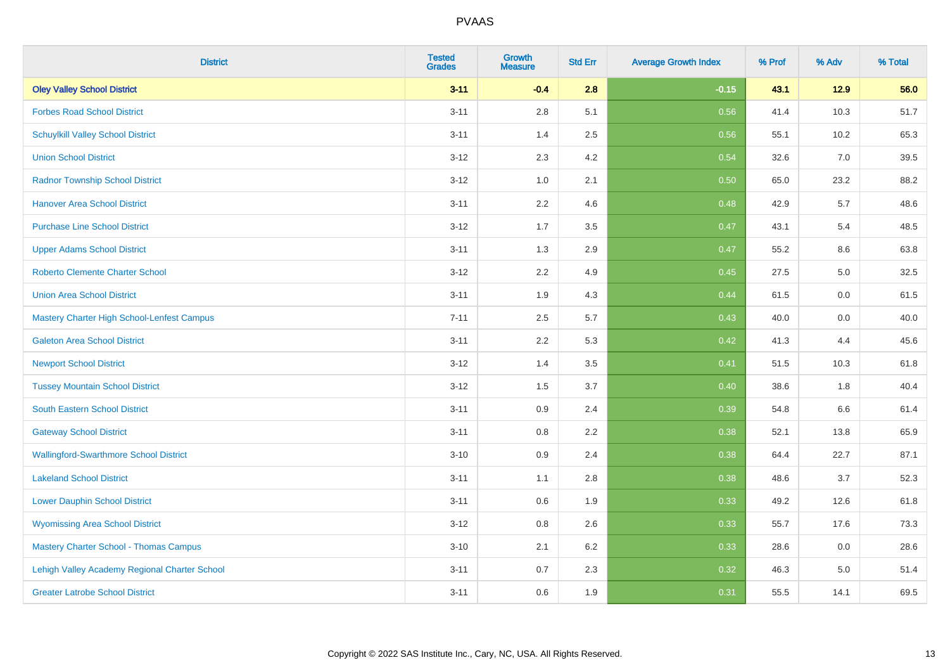| <b>District</b>                               | <b>Tested</b><br><b>Grades</b> | <b>Growth</b><br><b>Measure</b> | <b>Std Err</b> | <b>Average Growth Index</b> | % Prof | % Adv | % Total |
|-----------------------------------------------|--------------------------------|---------------------------------|----------------|-----------------------------|--------|-------|---------|
| <b>Oley Valley School District</b>            | $3 - 11$                       | $-0.4$                          | 2.8            | $-0.15$                     | 43.1   | 12.9  | 56.0    |
| <b>Forbes Road School District</b>            | $3 - 11$                       | 2.8                             | 5.1            | 0.56                        | 41.4   | 10.3  | 51.7    |
| <b>Schuylkill Valley School District</b>      | $3 - 11$                       | 1.4                             | 2.5            | 0.56                        | 55.1   | 10.2  | 65.3    |
| <b>Union School District</b>                  | $3 - 12$                       | 2.3                             | 4.2            | 0.54                        | 32.6   | 7.0   | 39.5    |
| <b>Radnor Township School District</b>        | $3 - 12$                       | 1.0                             | 2.1            | 0.50                        | 65.0   | 23.2  | 88.2    |
| <b>Hanover Area School District</b>           | $3 - 11$                       | 2.2                             | 4.6            | 0.48                        | 42.9   | 5.7   | 48.6    |
| <b>Purchase Line School District</b>          | $3 - 12$                       | 1.7                             | 3.5            | 0.47                        | 43.1   | 5.4   | 48.5    |
| <b>Upper Adams School District</b>            | $3 - 11$                       | 1.3                             | 2.9            | 0.47                        | 55.2   | 8.6   | 63.8    |
| <b>Roberto Clemente Charter School</b>        | $3 - 12$                       | 2.2                             | 4.9            | 0.45                        | 27.5   | 5.0   | 32.5    |
| <b>Union Area School District</b>             | $3 - 11$                       | 1.9                             | 4.3            | 0.44                        | 61.5   | 0.0   | 61.5    |
| Mastery Charter High School-Lenfest Campus    | $7 - 11$                       | 2.5                             | 5.7            | $\boxed{0.43}$              | 40.0   | 0.0   | 40.0    |
| <b>Galeton Area School District</b>           | $3 - 11$                       | 2.2                             | 5.3            | 0.42                        | 41.3   | 4.4   | 45.6    |
| <b>Newport School District</b>                | $3 - 12$                       | 1.4                             | 3.5            | 0.41                        | 51.5   | 10.3  | 61.8    |
| <b>Tussey Mountain School District</b>        | $3 - 12$                       | 1.5                             | 3.7            | 0.40                        | 38.6   | 1.8   | 40.4    |
| <b>South Eastern School District</b>          | $3 - 11$                       | 0.9                             | 2.4            | 0.39                        | 54.8   | 6.6   | 61.4    |
| <b>Gateway School District</b>                | $3 - 11$                       | 0.8                             | 2.2            | 0.38                        | 52.1   | 13.8  | 65.9    |
| <b>Wallingford-Swarthmore School District</b> | $3 - 10$                       | 0.9                             | 2.4            | 0.38                        | 64.4   | 22.7  | 87.1    |
| <b>Lakeland School District</b>               | $3 - 11$                       | 1.1                             | 2.8            | 0.38                        | 48.6   | 3.7   | 52.3    |
| <b>Lower Dauphin School District</b>          | $3 - 11$                       | 0.6                             | 1.9            | 0.33                        | 49.2   | 12.6  | 61.8    |
| <b>Wyomissing Area School District</b>        | $3 - 12$                       | $0.8\,$                         | 2.6            | 0.33                        | 55.7   | 17.6  | 73.3    |
| <b>Mastery Charter School - Thomas Campus</b> | $3 - 10$                       | 2.1                             | 6.2            | 0.33                        | 28.6   | 0.0   | 28.6    |
| Lehigh Valley Academy Regional Charter School | $3 - 11$                       | 0.7                             | 2.3            | 0.32                        | 46.3   | 5.0   | 51.4    |
| <b>Greater Latrobe School District</b>        | $3 - 11$                       | 0.6                             | 1.9            | 0.31                        | 55.5   | 14.1  | 69.5    |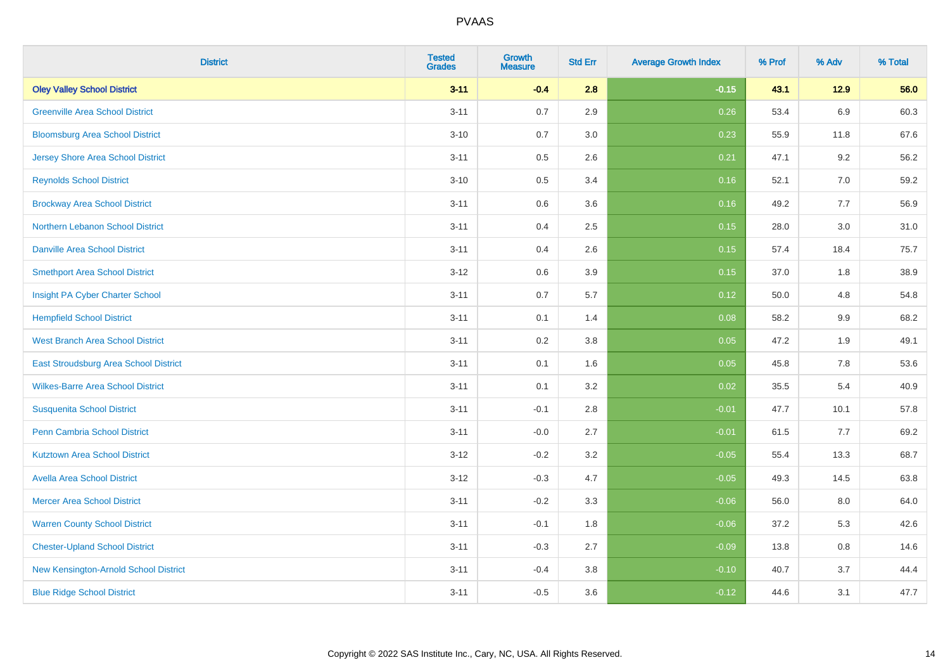| <b>District</b>                          | <b>Tested</b><br><b>Grades</b> | <b>Growth</b><br><b>Measure</b> | <b>Std Err</b> | <b>Average Growth Index</b> | % Prof | % Adv   | % Total |
|------------------------------------------|--------------------------------|---------------------------------|----------------|-----------------------------|--------|---------|---------|
| <b>Oley Valley School District</b>       | $3 - 11$                       | $-0.4$                          | 2.8            | $-0.15$                     | 43.1   | 12.9    | 56.0    |
| <b>Greenville Area School District</b>   | $3 - 11$                       | 0.7                             | 2.9            | 0.26                        | 53.4   | 6.9     | 60.3    |
| <b>Bloomsburg Area School District</b>   | $3 - 10$                       | 0.7                             | 3.0            | 0.23                        | 55.9   | 11.8    | 67.6    |
| <b>Jersey Shore Area School District</b> | $3 - 11$                       | 0.5                             | 2.6            | 0.21                        | 47.1   | 9.2     | 56.2    |
| <b>Reynolds School District</b>          | $3 - 10$                       | 0.5                             | 3.4            | 0.16                        | 52.1   | 7.0     | 59.2    |
| <b>Brockway Area School District</b>     | $3 - 11$                       | 0.6                             | 3.6            | 0.16                        | 49.2   | 7.7     | 56.9    |
| Northern Lebanon School District         | $3 - 11$                       | 0.4                             | 2.5            | 0.15                        | 28.0   | 3.0     | 31.0    |
| <b>Danville Area School District</b>     | $3 - 11$                       | 0.4                             | 2.6            | 0.15                        | 57.4   | 18.4    | 75.7    |
| <b>Smethport Area School District</b>    | $3 - 12$                       | 0.6                             | 3.9            | 0.15                        | 37.0   | 1.8     | 38.9    |
| Insight PA Cyber Charter School          | $3 - 11$                       | 0.7                             | 5.7            | 0.12                        | 50.0   | 4.8     | 54.8    |
| <b>Hempfield School District</b>         | $3 - 11$                       | 0.1                             | 1.4            | 0.08                        | 58.2   | 9.9     | 68.2    |
| <b>West Branch Area School District</b>  | $3 - 11$                       | 0.2                             | 3.8            | 0.05                        | 47.2   | 1.9     | 49.1    |
| East Stroudsburg Area School District    | $3 - 11$                       | 0.1                             | 1.6            | 0.05                        | 45.8   | $7.8\,$ | 53.6    |
| <b>Wilkes-Barre Area School District</b> | $3 - 11$                       | 0.1                             | 3.2            | 0.02                        | 35.5   | 5.4     | 40.9    |
| <b>Susquenita School District</b>        | $3 - 11$                       | $-0.1$                          | 2.8            | $-0.01$                     | 47.7   | 10.1    | 57.8    |
| <b>Penn Cambria School District</b>      | $3 - 11$                       | $-0.0$                          | 2.7            | $-0.01$                     | 61.5   | 7.7     | 69.2    |
| <b>Kutztown Area School District</b>     | $3-12$                         | $-0.2$                          | 3.2            | $-0.05$                     | 55.4   | 13.3    | 68.7    |
| <b>Avella Area School District</b>       | $3-12$                         | $-0.3$                          | 4.7            | $-0.05$                     | 49.3   | 14.5    | 63.8    |
| <b>Mercer Area School District</b>       | $3 - 11$                       | $-0.2$                          | 3.3            | $-0.06$                     | 56.0   | 8.0     | 64.0    |
| <b>Warren County School District</b>     | $3 - 11$                       | $-0.1$                          | 1.8            | $-0.06$                     | 37.2   | 5.3     | 42.6    |
| <b>Chester-Upland School District</b>    | $3 - 11$                       | $-0.3$                          | 2.7            | $-0.09$                     | 13.8   | 0.8     | 14.6    |
| New Kensington-Arnold School District    | $3 - 11$                       | $-0.4$                          | 3.8            | $-0.10$                     | 40.7   | 3.7     | 44.4    |
| <b>Blue Ridge School District</b>        | $3 - 11$                       | $-0.5$                          | 3.6            | $-0.12$                     | 44.6   | 3.1     | 47.7    |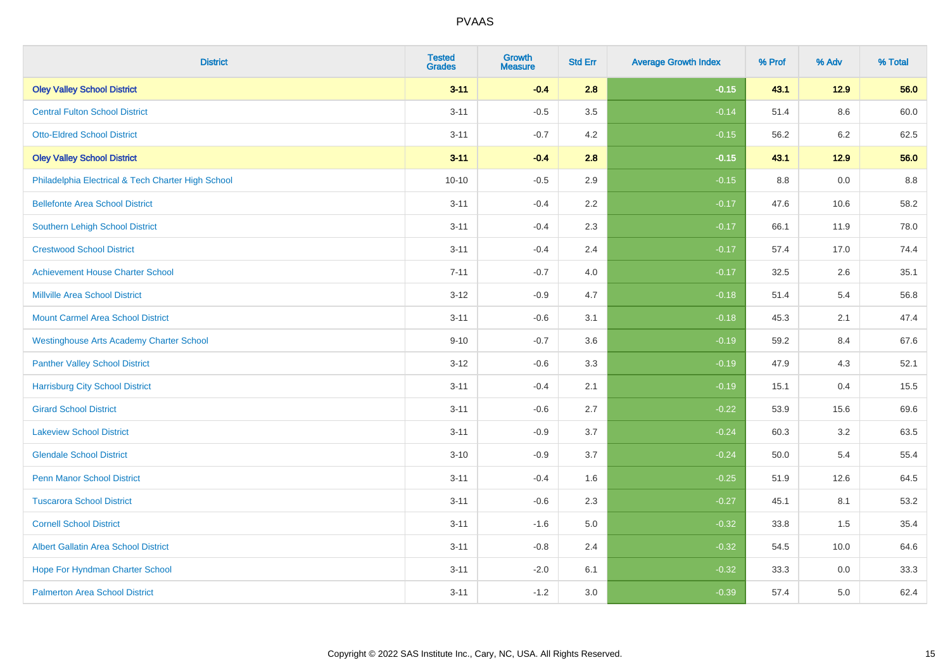| <b>District</b>                                    | <b>Tested</b><br><b>Grades</b> | <b>Growth</b><br><b>Measure</b> | <b>Std Err</b> | <b>Average Growth Index</b> | % Prof | % Adv   | % Total |
|----------------------------------------------------|--------------------------------|---------------------------------|----------------|-----------------------------|--------|---------|---------|
| <b>Oley Valley School District</b>                 | $3 - 11$                       | $-0.4$                          | 2.8            | $-0.15$                     | 43.1   | $12.9$  | 56.0    |
| <b>Central Fulton School District</b>              | $3 - 11$                       | $-0.5$                          | 3.5            | $-0.14$                     | 51.4   | 8.6     | 60.0    |
| <b>Otto-Eldred School District</b>                 | $3 - 11$                       | $-0.7$                          | 4.2            | $-0.15$                     | 56.2   | $6.2\,$ | 62.5    |
| <b>Oley Valley School District</b>                 | $3 - 11$                       | $-0.4$                          | 2.8            | $-0.15$                     | 43.1   | $12.9$  | 56.0    |
| Philadelphia Electrical & Tech Charter High School | $10 - 10$                      | $-0.5$                          | 2.9            | $-0.15$                     | 8.8    | 0.0     | 8.8     |
| <b>Bellefonte Area School District</b>             | $3 - 11$                       | $-0.4$                          | 2.2            | $-0.17$                     | 47.6   | 10.6    | 58.2    |
| <b>Southern Lehigh School District</b>             | $3 - 11$                       | $-0.4$                          | 2.3            | $-0.17$                     | 66.1   | 11.9    | 78.0    |
| <b>Crestwood School District</b>                   | $3 - 11$                       | $-0.4$                          | 2.4            | $-0.17$                     | 57.4   | 17.0    | 74.4    |
| <b>Achievement House Charter School</b>            | $7 - 11$                       | $-0.7$                          | 4.0            | $-0.17$                     | 32.5   | 2.6     | 35.1    |
| <b>Millville Area School District</b>              | $3 - 12$                       | $-0.9$                          | 4.7            | $-0.18$                     | 51.4   | 5.4     | 56.8    |
| <b>Mount Carmel Area School District</b>           | $3 - 11$                       | $-0.6$                          | 3.1            | $-0.18$                     | 45.3   | 2.1     | 47.4    |
| <b>Westinghouse Arts Academy Charter School</b>    | $9 - 10$                       | $-0.7$                          | 3.6            | $-0.19$                     | 59.2   | 8.4     | 67.6    |
| <b>Panther Valley School District</b>              | $3 - 12$                       | $-0.6$                          | 3.3            | $-0.19$                     | 47.9   | 4.3     | 52.1    |
| <b>Harrisburg City School District</b>             | $3 - 11$                       | $-0.4$                          | 2.1            | $-0.19$                     | 15.1   | 0.4     | 15.5    |
| <b>Girard School District</b>                      | $3 - 11$                       | $-0.6$                          | 2.7            | $-0.22$                     | 53.9   | 15.6    | 69.6    |
| <b>Lakeview School District</b>                    | $3 - 11$                       | $-0.9$                          | 3.7            | $-0.24$                     | 60.3   | 3.2     | 63.5    |
| <b>Glendale School District</b>                    | $3 - 10$                       | $-0.9$                          | 3.7            | $-0.24$                     | 50.0   | 5.4     | 55.4    |
| <b>Penn Manor School District</b>                  | $3 - 11$                       | $-0.4$                          | 1.6            | $-0.25$                     | 51.9   | 12.6    | 64.5    |
| <b>Tuscarora School District</b>                   | $3 - 11$                       | $-0.6$                          | 2.3            | $-0.27$                     | 45.1   | 8.1     | 53.2    |
| <b>Cornell School District</b>                     | $3 - 11$                       | $-1.6$                          | 5.0            | $-0.32$                     | 33.8   | 1.5     | 35.4    |
| <b>Albert Gallatin Area School District</b>        | $3 - 11$                       | $-0.8$                          | 2.4            | $-0.32$                     | 54.5   | 10.0    | 64.6    |
| Hope For Hyndman Charter School                    | $3 - 11$                       | $-2.0$                          | 6.1            | $-0.32$                     | 33.3   | 0.0     | 33.3    |
| <b>Palmerton Area School District</b>              | $3 - 11$                       | $-1.2$                          | 3.0            | $-0.39$                     | 57.4   | 5.0     | 62.4    |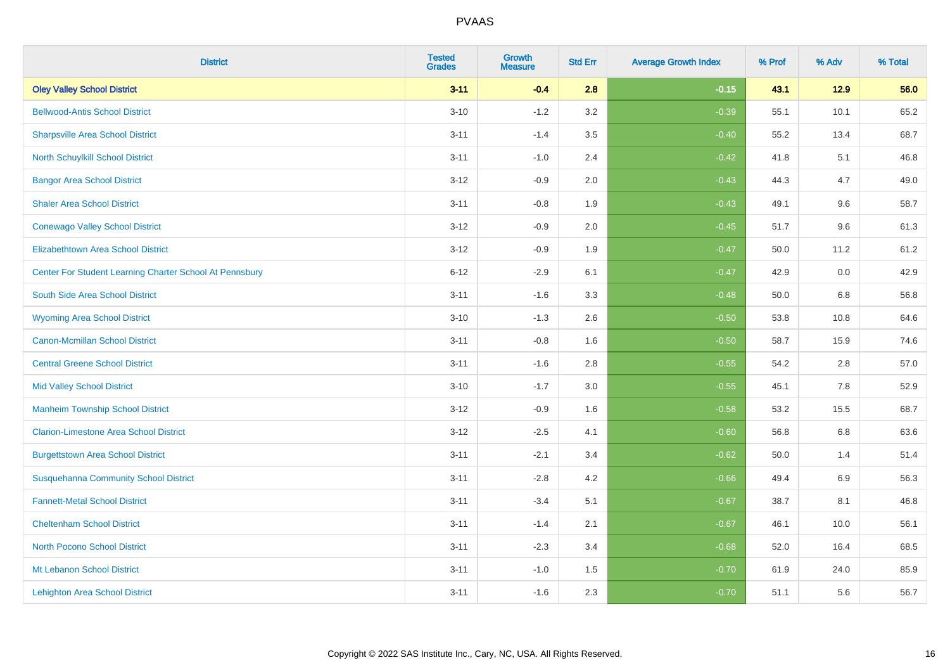| <b>District</b>                                         | <b>Tested</b><br><b>Grades</b> | <b>Growth</b><br><b>Measure</b> | <b>Std Err</b> | <b>Average Growth Index</b> | % Prof | % Adv   | % Total |
|---------------------------------------------------------|--------------------------------|---------------------------------|----------------|-----------------------------|--------|---------|---------|
| <b>Oley Valley School District</b>                      | $3 - 11$                       | $-0.4$                          | 2.8            | $-0.15$                     | 43.1   | 12.9    | 56.0    |
| <b>Bellwood-Antis School District</b>                   | $3 - 10$                       | $-1.2$                          | 3.2            | $-0.39$                     | 55.1   | 10.1    | 65.2    |
| <b>Sharpsville Area School District</b>                 | $3 - 11$                       | $-1.4$                          | 3.5            | $-0.40$                     | 55.2   | 13.4    | 68.7    |
| North Schuylkill School District                        | $3 - 11$                       | $-1.0$                          | 2.4            | $-0.42$                     | 41.8   | 5.1     | 46.8    |
| <b>Bangor Area School District</b>                      | $3 - 12$                       | $-0.9$                          | 2.0            | $-0.43$                     | 44.3   | 4.7     | 49.0    |
| <b>Shaler Area School District</b>                      | $3 - 11$                       | $-0.8$                          | 1.9            | $-0.43$                     | 49.1   | 9.6     | 58.7    |
| <b>Conewago Valley School District</b>                  | $3 - 12$                       | $-0.9$                          | 2.0            | $-0.45$                     | 51.7   | 9.6     | 61.3    |
| <b>Elizabethtown Area School District</b>               | $3 - 12$                       | $-0.9$                          | 1.9            | $-0.47$                     | 50.0   | 11.2    | 61.2    |
| Center For Student Learning Charter School At Pennsbury | $6 - 12$                       | $-2.9$                          | 6.1            | $-0.47$                     | 42.9   | 0.0     | 42.9    |
| South Side Area School District                         | $3 - 11$                       | $-1.6$                          | 3.3            | $-0.48$                     | 50.0   | 6.8     | 56.8    |
| <b>Wyoming Area School District</b>                     | $3 - 10$                       | $-1.3$                          | 2.6            | $-0.50$                     | 53.8   | 10.8    | 64.6    |
| <b>Canon-Mcmillan School District</b>                   | $3 - 11$                       | $-0.8$                          | 1.6            | $-0.50$                     | 58.7   | 15.9    | 74.6    |
| <b>Central Greene School District</b>                   | $3 - 11$                       | $-1.6$                          | 2.8            | $-0.55$                     | 54.2   | $2.8\,$ | 57.0    |
| <b>Mid Valley School District</b>                       | $3 - 10$                       | $-1.7$                          | 3.0            | $-0.55$                     | 45.1   | 7.8     | 52.9    |
| <b>Manheim Township School District</b>                 | $3 - 12$                       | $-0.9$                          | 1.6            | $-0.58$                     | 53.2   | 15.5    | 68.7    |
| <b>Clarion-Limestone Area School District</b>           | $3 - 12$                       | $-2.5$                          | 4.1            | $-0.60$                     | 56.8   | $6.8\,$ | 63.6    |
| <b>Burgettstown Area School District</b>                | $3 - 11$                       | $-2.1$                          | 3.4            | $-0.62$                     | 50.0   | 1.4     | 51.4    |
| <b>Susquehanna Community School District</b>            | $3 - 11$                       | $-2.8$                          | 4.2            | $-0.66$                     | 49.4   | 6.9     | 56.3    |
| <b>Fannett-Metal School District</b>                    | $3 - 11$                       | $-3.4$                          | 5.1            | $-0.67$                     | 38.7   | 8.1     | 46.8    |
| <b>Cheltenham School District</b>                       | $3 - 11$                       | $-1.4$                          | 2.1            | $-0.67$                     | 46.1   | 10.0    | 56.1    |
| <b>North Pocono School District</b>                     | $3 - 11$                       | $-2.3$                          | 3.4            | $-0.68$                     | 52.0   | 16.4    | 68.5    |
| Mt Lebanon School District                              | $3 - 11$                       | $-1.0$                          | 1.5            | $-0.70$                     | 61.9   | 24.0    | 85.9    |
| <b>Lehighton Area School District</b>                   | $3 - 11$                       | $-1.6$                          | 2.3            | $-0.70$                     | 51.1   | 5.6     | 56.7    |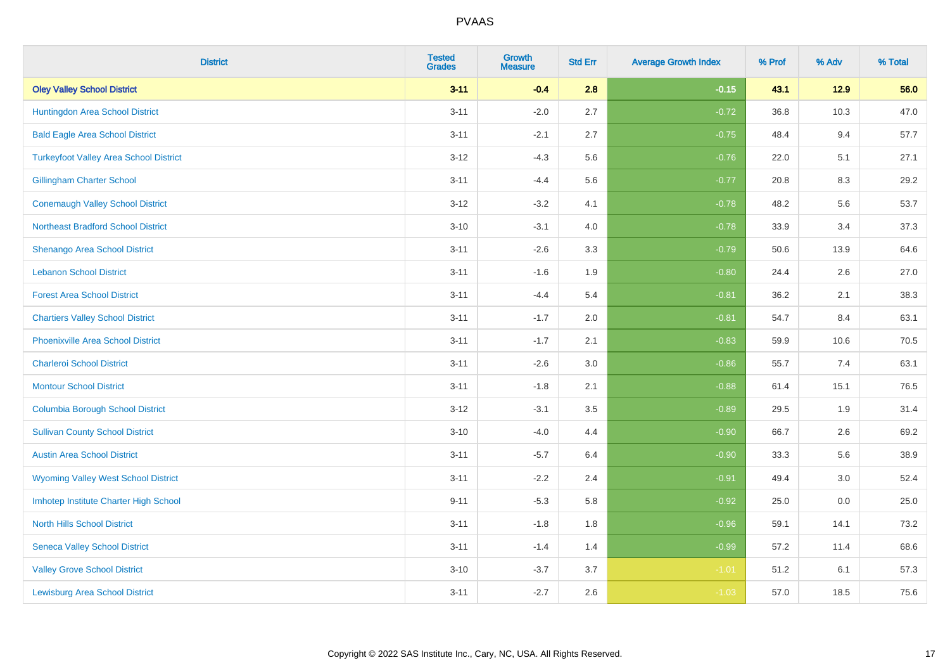| <b>District</b>                               | <b>Tested</b><br><b>Grades</b> | <b>Growth</b><br><b>Measure</b> | <b>Std Err</b> | <b>Average Growth Index</b> | % Prof | % Adv | % Total |
|-----------------------------------------------|--------------------------------|---------------------------------|----------------|-----------------------------|--------|-------|---------|
| <b>Oley Valley School District</b>            | $3 - 11$                       | $-0.4$                          | 2.8            | $-0.15$                     | 43.1   | 12.9  | 56.0    |
| Huntingdon Area School District               | $3 - 11$                       | $-2.0$                          | 2.7            | $-0.72$                     | 36.8   | 10.3  | 47.0    |
| <b>Bald Eagle Area School District</b>        | $3 - 11$                       | $-2.1$                          | 2.7            | $-0.75$                     | 48.4   | 9.4   | 57.7    |
| <b>Turkeyfoot Valley Area School District</b> | $3 - 12$                       | $-4.3$                          | 5.6            | $-0.76$                     | 22.0   | 5.1   | 27.1    |
| <b>Gillingham Charter School</b>              | $3 - 11$                       | $-4.4$                          | 5.6            | $-0.77$                     | 20.8   | 8.3   | 29.2    |
| <b>Conemaugh Valley School District</b>       | $3 - 12$                       | $-3.2$                          | 4.1            | $-0.78$                     | 48.2   | 5.6   | 53.7    |
| <b>Northeast Bradford School District</b>     | $3 - 10$                       | $-3.1$                          | 4.0            | $-0.78$                     | 33.9   | 3.4   | 37.3    |
| <b>Shenango Area School District</b>          | $3 - 11$                       | $-2.6$                          | 3.3            | $-0.79$                     | 50.6   | 13.9  | 64.6    |
| <b>Lebanon School District</b>                | $3 - 11$                       | $-1.6$                          | 1.9            | $-0.80$                     | 24.4   | 2.6   | 27.0    |
| <b>Forest Area School District</b>            | $3 - 11$                       | $-4.4$                          | 5.4            | $-0.81$                     | 36.2   | 2.1   | 38.3    |
| <b>Chartiers Valley School District</b>       | $3 - 11$                       | $-1.7$                          | 2.0            | $-0.81$                     | 54.7   | 8.4   | 63.1    |
| <b>Phoenixville Area School District</b>      | $3 - 11$                       | $-1.7$                          | 2.1            | $-0.83$                     | 59.9   | 10.6  | 70.5    |
| <b>Charleroi School District</b>              | $3 - 11$                       | $-2.6$                          | 3.0            | $-0.86$                     | 55.7   | 7.4   | 63.1    |
| <b>Montour School District</b>                | $3 - 11$                       | $-1.8$                          | 2.1            | $-0.88$                     | 61.4   | 15.1  | 76.5    |
| <b>Columbia Borough School District</b>       | $3 - 12$                       | $-3.1$                          | 3.5            | $-0.89$                     | 29.5   | 1.9   | 31.4    |
| <b>Sullivan County School District</b>        | $3 - 10$                       | $-4.0$                          | 4.4            | $-0.90$                     | 66.7   | 2.6   | 69.2    |
| <b>Austin Area School District</b>            | $3 - 11$                       | $-5.7$                          | 6.4            | $-0.90$                     | 33.3   | 5.6   | 38.9    |
| <b>Wyoming Valley West School District</b>    | $3 - 11$                       | $-2.2$                          | 2.4            | $-0.91$                     | 49.4   | 3.0   | 52.4    |
| Imhotep Institute Charter High School         | $9 - 11$                       | $-5.3$                          | 5.8            | $-0.92$                     | 25.0   | 0.0   | 25.0    |
| <b>North Hills School District</b>            | $3 - 11$                       | $-1.8$                          | 1.8            | $-0.96$                     | 59.1   | 14.1  | 73.2    |
| <b>Seneca Valley School District</b>          | $3 - 11$                       | $-1.4$                          | 1.4            | $-0.99$                     | 57.2   | 11.4  | 68.6    |
| <b>Valley Grove School District</b>           | $3 - 10$                       | $-3.7$                          | 3.7            | $-1.01$                     | 51.2   | 6.1   | 57.3    |
| <b>Lewisburg Area School District</b>         | $3 - 11$                       | $-2.7$                          | 2.6            | $-1.03$                     | 57.0   | 18.5  | 75.6    |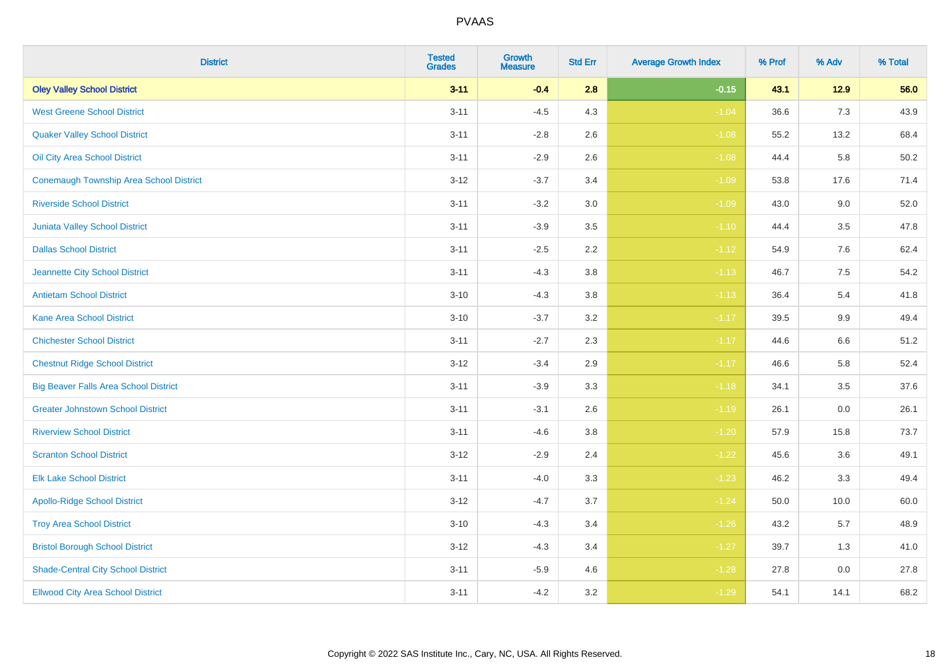| <b>District</b>                                | <b>Tested</b><br><b>Grades</b> | Growth<br><b>Measure</b> | <b>Std Err</b> | <b>Average Growth Index</b> | % Prof | % Adv  | % Total |
|------------------------------------------------|--------------------------------|--------------------------|----------------|-----------------------------|--------|--------|---------|
| <b>Oley Valley School District</b>             | $3 - 11$                       | $-0.4$                   | 2.8            | $-0.15$                     | 43.1   | $12.9$ | 56.0    |
| <b>West Greene School District</b>             | $3 - 11$                       | $-4.5$                   | 4.3            | $-1.04$                     | 36.6   | 7.3    | 43.9    |
| <b>Quaker Valley School District</b>           | $3 - 11$                       | $-2.8$                   | 2.6            | $-1.08$                     | 55.2   | 13.2   | 68.4    |
| Oil City Area School District                  | $3 - 11$                       | $-2.9$                   | $2.6\,$        | $-1.08$                     | 44.4   | 5.8    | 50.2    |
| <b>Conemaugh Township Area School District</b> | $3 - 12$                       | $-3.7$                   | 3.4            | $-1.09$                     | 53.8   | 17.6   | 71.4    |
| <b>Riverside School District</b>               | $3 - 11$                       | $-3.2$                   | 3.0            | $-1.09$                     | 43.0   | 9.0    | 52.0    |
| Juniata Valley School District                 | $3 - 11$                       | $-3.9$                   | 3.5            | $-1.10$                     | 44.4   | 3.5    | 47.8    |
| <b>Dallas School District</b>                  | $3 - 11$                       | $-2.5$                   | 2.2            | $-1.12$                     | 54.9   | 7.6    | 62.4    |
| Jeannette City School District                 | $3 - 11$                       | $-4.3$                   | 3.8            | $-1.13$                     | 46.7   | 7.5    | 54.2    |
| <b>Antietam School District</b>                | $3 - 10$                       | $-4.3$                   | 3.8            | $-1.13$                     | 36.4   | 5.4    | 41.8    |
| Kane Area School District                      | $3 - 10$                       | $-3.7$                   | 3.2            | $-1.17$                     | 39.5   | 9.9    | 49.4    |
| <b>Chichester School District</b>              | $3 - 11$                       | $-2.7$                   | 2.3            | $-1.17$                     | 44.6   | 6.6    | 51.2    |
| <b>Chestnut Ridge School District</b>          | $3 - 12$                       | $-3.4$                   | 2.9            | $-1.17$                     | 46.6   | 5.8    | 52.4    |
| <b>Big Beaver Falls Area School District</b>   | $3 - 11$                       | $-3.9$                   | 3.3            | $-1.18$                     | 34.1   | 3.5    | 37.6    |
| <b>Greater Johnstown School District</b>       | $3 - 11$                       | $-3.1$                   | 2.6            | $-1.19$                     | 26.1   | 0.0    | 26.1    |
| <b>Riverview School District</b>               | $3 - 11$                       | $-4.6$                   | 3.8            | $-1.20$                     | 57.9   | 15.8   | 73.7    |
| <b>Scranton School District</b>                | $3-12$                         | $-2.9$                   | 2.4            | $-1.22$                     | 45.6   | 3.6    | 49.1    |
| <b>Elk Lake School District</b>                | $3 - 11$                       | $-4.0$                   | 3.3            | $-1.23$                     | 46.2   | 3.3    | 49.4    |
| <b>Apollo-Ridge School District</b>            | $3 - 12$                       | $-4.7$                   | 3.7            | $-1.24$                     | 50.0   | 10.0   | 60.0    |
| <b>Troy Area School District</b>               | $3 - 10$                       | $-4.3$                   | 3.4            | $-1.26$                     | 43.2   | 5.7    | 48.9    |
| <b>Bristol Borough School District</b>         | $3 - 12$                       | $-4.3$                   | 3.4            | $-1.27$                     | 39.7   | 1.3    | 41.0    |
| <b>Shade-Central City School District</b>      | $3 - 11$                       | $-5.9$                   | 4.6            | $-1.28$                     | 27.8   | 0.0    | 27.8    |
| <b>Ellwood City Area School District</b>       | $3 - 11$                       | $-4.2$                   | 3.2            | $-1.29$                     | 54.1   | 14.1   | 68.2    |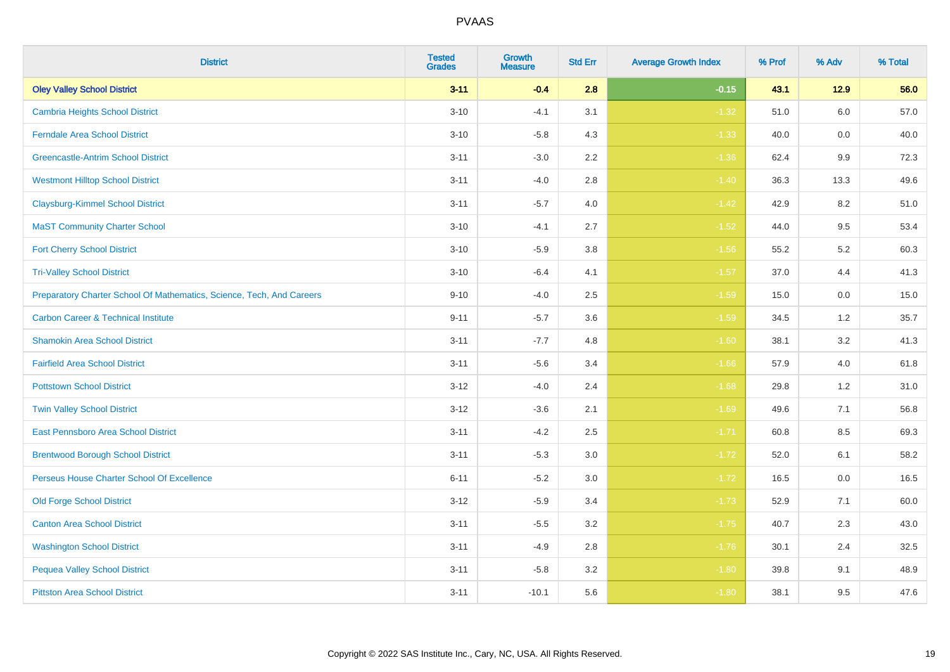| <b>District</b>                                                       | <b>Tested</b><br><b>Grades</b> | Growth<br><b>Measure</b> | <b>Std Err</b> | <b>Average Growth Index</b> | % Prof | % Adv   | % Total |
|-----------------------------------------------------------------------|--------------------------------|--------------------------|----------------|-----------------------------|--------|---------|---------|
| <b>Oley Valley School District</b>                                    | $3 - 11$                       | $-0.4$                   | 2.8            | $-0.15$                     | 43.1   | $12.9$  | 56.0    |
| <b>Cambria Heights School District</b>                                | $3 - 10$                       | $-4.1$                   | 3.1            | $-1.32$                     | 51.0   | 6.0     | 57.0    |
| <b>Ferndale Area School District</b>                                  | $3 - 10$                       | $-5.8$                   | 4.3            | $-1.33$                     | 40.0   | 0.0     | 40.0    |
| <b>Greencastle-Antrim School District</b>                             | $3 - 11$                       | $-3.0$                   | $2.2\,$        | $-1.36$                     | 62.4   | 9.9     | 72.3    |
| <b>Westmont Hilltop School District</b>                               | $3 - 11$                       | $-4.0$                   | 2.8            | $-1.40$                     | 36.3   | 13.3    | 49.6    |
| <b>Claysburg-Kimmel School District</b>                               | $3 - 11$                       | $-5.7$                   | 4.0            | $-1.42$                     | 42.9   | 8.2     | 51.0    |
| <b>MaST Community Charter School</b>                                  | $3 - 10$                       | $-4.1$                   | 2.7            | $-1.52$                     | 44.0   | 9.5     | 53.4    |
| <b>Fort Cherry School District</b>                                    | $3 - 10$                       | $-5.9$                   | 3.8            | $-1.56$                     | 55.2   | 5.2     | 60.3    |
| <b>Tri-Valley School District</b>                                     | $3 - 10$                       | $-6.4$                   | 4.1            | $-1.57$                     | 37.0   | 4.4     | 41.3    |
| Preparatory Charter School Of Mathematics, Science, Tech, And Careers | $9 - 10$                       | $-4.0$                   | $2.5\,$        | $-1.59$                     | 15.0   | $0.0\,$ | 15.0    |
| <b>Carbon Career &amp; Technical Institute</b>                        | $9 - 11$                       | $-5.7$                   | 3.6            | $-1.59$                     | 34.5   | 1.2     | 35.7    |
| <b>Shamokin Area School District</b>                                  | $3 - 11$                       | $-7.7$                   | 4.8            | $-1.60$                     | 38.1   | 3.2     | 41.3    |
| <b>Fairfield Area School District</b>                                 | $3 - 11$                       | $-5.6$                   | 3.4            | $-1.66$                     | 57.9   | 4.0     | 61.8    |
| <b>Pottstown School District</b>                                      | $3 - 12$                       | $-4.0$                   | 2.4            | $-1.68$                     | 29.8   | $1.2$   | 31.0    |
| <b>Twin Valley School District</b>                                    | $3 - 12$                       | $-3.6$                   | 2.1            | $-1.69$                     | 49.6   | 7.1     | 56.8    |
| <b>East Pennsboro Area School District</b>                            | $3 - 11$                       | $-4.2$                   | 2.5            | $-1.71$                     | 60.8   | 8.5     | 69.3    |
| <b>Brentwood Borough School District</b>                              | $3 - 11$                       | $-5.3$                   | 3.0            | $-1.72$                     | 52.0   | 6.1     | 58.2    |
| Perseus House Charter School Of Excellence                            | $6 - 11$                       | $-5.2$                   | 3.0            | $-1.72$                     | 16.5   | 0.0     | 16.5    |
| <b>Old Forge School District</b>                                      | $3 - 12$                       | $-5.9$                   | 3.4            | $-1.73$                     | 52.9   | 7.1     | 60.0    |
| <b>Canton Area School District</b>                                    | $3 - 11$                       | $-5.5$                   | 3.2            | $-1.75$                     | 40.7   | 2.3     | 43.0    |
| <b>Washington School District</b>                                     | $3 - 11$                       | $-4.9$                   | $2.8\,$        | $-1.76$                     | 30.1   | 2.4     | 32.5    |
| <b>Pequea Valley School District</b>                                  | $3 - 11$                       | $-5.8$                   | 3.2            | $-1.80$                     | 39.8   | 9.1     | 48.9    |
| <b>Pittston Area School District</b>                                  | $3 - 11$                       | $-10.1$                  | 5.6            | $-1.80$                     | 38.1   | 9.5     | 47.6    |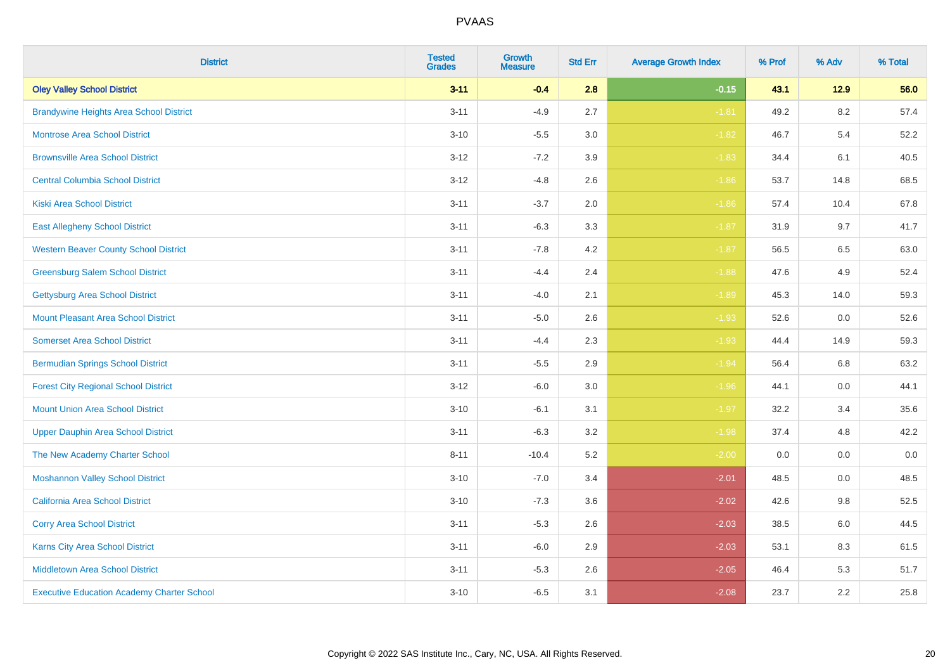| <b>District</b>                                   | <b>Tested</b><br><b>Grades</b> | Growth<br><b>Measure</b> | <b>Std Err</b> | <b>Average Growth Index</b> | % Prof | % Adv   | % Total |
|---------------------------------------------------|--------------------------------|--------------------------|----------------|-----------------------------|--------|---------|---------|
| <b>Oley Valley School District</b>                | $3 - 11$                       | $-0.4$                   | 2.8            | $-0.15$                     | 43.1   | $12.9$  | 56.0    |
| <b>Brandywine Heights Area School District</b>    | $3 - 11$                       | $-4.9$                   | 2.7            | $-1.81$                     | 49.2   | 8.2     | 57.4    |
| <b>Montrose Area School District</b>              | $3 - 10$                       | $-5.5$                   | 3.0            | $-1.82$                     | 46.7   | 5.4     | 52.2    |
| <b>Brownsville Area School District</b>           | $3 - 12$                       | $-7.2$                   | 3.9            | $-1.83$                     | 34.4   | 6.1     | 40.5    |
| <b>Central Columbia School District</b>           | $3 - 12$                       | $-4.8$                   | 2.6            | $-1.86$                     | 53.7   | 14.8    | 68.5    |
| <b>Kiski Area School District</b>                 | $3 - 11$                       | $-3.7$                   | 2.0            | $-1.86$                     | 57.4   | 10.4    | 67.8    |
| <b>East Allegheny School District</b>             | $3 - 11$                       | $-6.3$                   | 3.3            | $-1.87$                     | 31.9   | 9.7     | 41.7    |
| <b>Western Beaver County School District</b>      | $3 - 11$                       | $-7.8$                   | 4.2            | $-1.87$                     | 56.5   | 6.5     | 63.0    |
| <b>Greensburg Salem School District</b>           | $3 - 11$                       | $-4.4$                   | 2.4            | $-1.88$                     | 47.6   | 4.9     | 52.4    |
| <b>Gettysburg Area School District</b>            | $3 - 11$                       | $-4.0$                   | 2.1            | $-1.89$                     | 45.3   | 14.0    | 59.3    |
| <b>Mount Pleasant Area School District</b>        | $3 - 11$                       | $-5.0$                   | 2.6            | $-1.93$                     | 52.6   | 0.0     | 52.6    |
| <b>Somerset Area School District</b>              | $3 - 11$                       | $-4.4$                   | 2.3            | $-1.93$                     | 44.4   | 14.9    | 59.3    |
| <b>Bermudian Springs School District</b>          | $3 - 11$                       | $-5.5$                   | 2.9            | $-1.94$                     | 56.4   | $6.8\,$ | 63.2    |
| <b>Forest City Regional School District</b>       | $3 - 12$                       | $-6.0$                   | 3.0            | $-1.96$                     | 44.1   | 0.0     | 44.1    |
| <b>Mount Union Area School District</b>           | $3 - 10$                       | $-6.1$                   | 3.1            | $-1.97$                     | 32.2   | 3.4     | 35.6    |
| <b>Upper Dauphin Area School District</b>         | $3 - 11$                       | $-6.3$                   | 3.2            | $-1.98$                     | 37.4   | 4.8     | 42.2    |
| The New Academy Charter School                    | $8 - 11$                       | $-10.4$                  | 5.2            | $-2.00$                     | 0.0    | 0.0     | $0.0\,$ |
| <b>Moshannon Valley School District</b>           | $3 - 10$                       | $-7.0$                   | 3.4            | $-2.01$                     | 48.5   | 0.0     | 48.5    |
| <b>California Area School District</b>            | $3 - 10$                       | $-7.3$                   | 3.6            | $-2.02$                     | 42.6   | 9.8     | 52.5    |
| <b>Corry Area School District</b>                 | $3 - 11$                       | $-5.3$                   | 2.6            | $-2.03$                     | 38.5   | 6.0     | 44.5    |
| <b>Karns City Area School District</b>            | $3 - 11$                       | $-6.0$                   | 2.9            | $-2.03$                     | 53.1   | 8.3     | 61.5    |
| <b>Middletown Area School District</b>            | $3 - 11$                       | $-5.3$                   | 2.6            | $-2.05$                     | 46.4   | 5.3     | 51.7    |
| <b>Executive Education Academy Charter School</b> | $3 - 10$                       | $-6.5$                   | 3.1            | $-2.08$                     | 23.7   | 2.2     | 25.8    |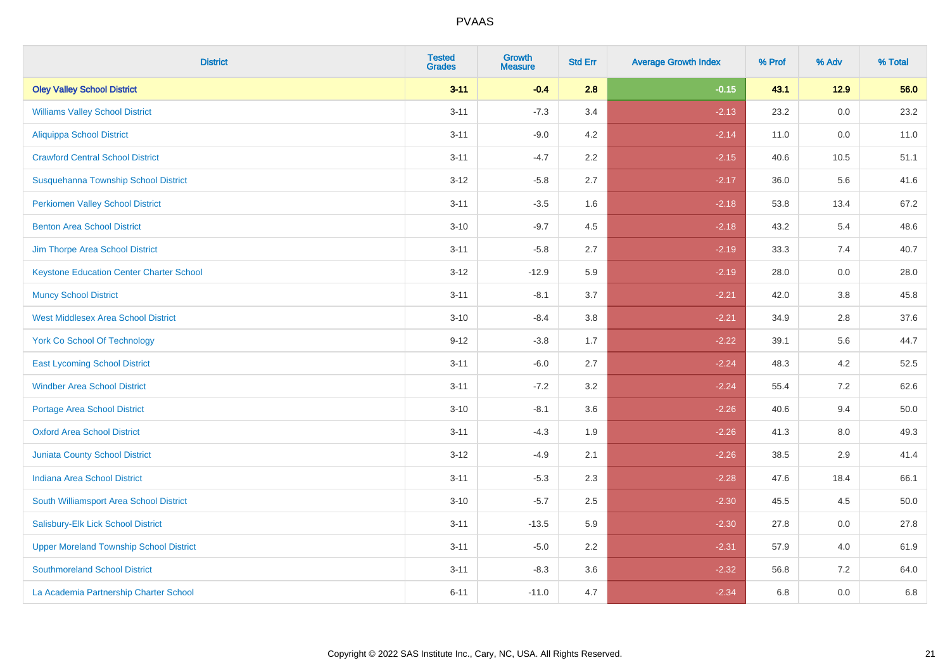| <b>District</b>                                 | <b>Tested</b><br><b>Grades</b> | Growth<br><b>Measure</b> | <b>Std Err</b> | <b>Average Growth Index</b> | % Prof | % Adv   | % Total  |
|-------------------------------------------------|--------------------------------|--------------------------|----------------|-----------------------------|--------|---------|----------|
| <b>Oley Valley School District</b>              | $3 - 11$                       | $-0.4$                   | 2.8            | $-0.15$                     | 43.1   | $12.9$  | 56.0     |
| <b>Williams Valley School District</b>          | $3 - 11$                       | $-7.3$                   | 3.4            | $-2.13$                     | 23.2   | 0.0     | 23.2     |
| <b>Aliquippa School District</b>                | $3 - 11$                       | $-9.0$                   | 4.2            | $-2.14$                     | 11.0   | 0.0     | 11.0     |
| <b>Crawford Central School District</b>         | $3 - 11$                       | $-4.7$                   | $2.2\,$        | $-2.15$                     | 40.6   | 10.5    | 51.1     |
| Susquehanna Township School District            | $3 - 12$                       | $-5.8$                   | 2.7            | $-2.17$                     | 36.0   | 5.6     | 41.6     |
| <b>Perkiomen Valley School District</b>         | $3 - 11$                       | $-3.5$                   | 1.6            | $-2.18$                     | 53.8   | 13.4    | 67.2     |
| <b>Benton Area School District</b>              | $3 - 10$                       | $-9.7$                   | 4.5            | $-2.18$                     | 43.2   | 5.4     | 48.6     |
| Jim Thorpe Area School District                 | $3 - 11$                       | $-5.8$                   | 2.7            | $-2.19$                     | 33.3   | 7.4     | 40.7     |
| <b>Keystone Education Center Charter School</b> | $3 - 12$                       | $-12.9$                  | 5.9            | $-2.19$                     | 28.0   | 0.0     | 28.0     |
| <b>Muncy School District</b>                    | $3 - 11$                       | $-8.1$                   | 3.7            | $-2.21$                     | 42.0   | $3.8\,$ | 45.8     |
| <b>West Middlesex Area School District</b>      | $3 - 10$                       | $-8.4$                   | 3.8            | $-2.21$                     | 34.9   | 2.8     | 37.6     |
| <b>York Co School Of Technology</b>             | $9 - 12$                       | $-3.8$                   | 1.7            | $-2.22$                     | 39.1   | 5.6     | 44.7     |
| <b>East Lycoming School District</b>            | $3 - 11$                       | $-6.0$                   | 2.7            | $-2.24$                     | 48.3   | 4.2     | 52.5     |
| <b>Windber Area School District</b>             | $3 - 11$                       | $-7.2$                   | 3.2            | $-2.24$                     | 55.4   | 7.2     | 62.6     |
| <b>Portage Area School District</b>             | $3 - 10$                       | $-8.1$                   | 3.6            | $-2.26$                     | 40.6   | 9.4     | $50.0\,$ |
| <b>Oxford Area School District</b>              | $3 - 11$                       | $-4.3$                   | 1.9            | $-2.26$                     | 41.3   | 8.0     | 49.3     |
| <b>Juniata County School District</b>           | $3 - 12$                       | $-4.9$                   | 2.1            | $-2.26$                     | 38.5   | 2.9     | 41.4     |
| <b>Indiana Area School District</b>             | $3 - 11$                       | $-5.3$                   | 2.3            | $-2.28$                     | 47.6   | 18.4    | 66.1     |
| South Williamsport Area School District         | $3 - 10$                       | $-5.7$                   | 2.5            | $-2.30$                     | 45.5   | 4.5     | 50.0     |
| Salisbury-Elk Lick School District              | $3 - 11$                       | $-13.5$                  | 5.9            | $-2.30$                     | 27.8   | 0.0     | 27.8     |
| <b>Upper Moreland Township School District</b>  | $3 - 11$                       | $-5.0$                   | 2.2            | $-2.31$                     | 57.9   | 4.0     | 61.9     |
| <b>Southmoreland School District</b>            | $3 - 11$                       | $-8.3$                   | 3.6            | $-2.32$                     | 56.8   | 7.2     | 64.0     |
| La Academia Partnership Charter School          | $6 - 11$                       | $-11.0$                  | 4.7            | $-2.34$                     | 6.8    | 0.0     | 6.8      |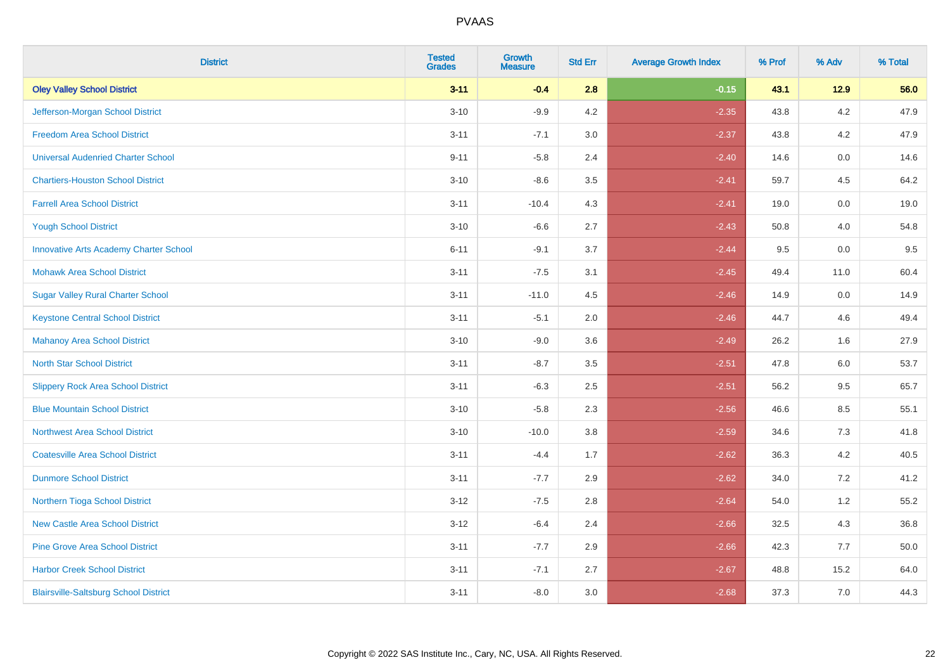| <b>District</b>                               | <b>Tested</b><br><b>Grades</b> | <b>Growth</b><br><b>Measure</b> | <b>Std Err</b> | <b>Average Growth Index</b> | % Prof | % Adv   | % Total |
|-----------------------------------------------|--------------------------------|---------------------------------|----------------|-----------------------------|--------|---------|---------|
| <b>Oley Valley School District</b>            | $3 - 11$                       | $-0.4$                          | 2.8            | $-0.15$                     | 43.1   | 12.9    | 56.0    |
| Jefferson-Morgan School District              | $3 - 10$                       | $-9.9$                          | 4.2            | $-2.35$                     | 43.8   | 4.2     | 47.9    |
| <b>Freedom Area School District</b>           | $3 - 11$                       | $-7.1$                          | 3.0            | $-2.37$                     | 43.8   | 4.2     | 47.9    |
| <b>Universal Audenried Charter School</b>     | $9 - 11$                       | $-5.8$                          | 2.4            | $-2.40$                     | 14.6   | $0.0\,$ | 14.6    |
| <b>Chartiers-Houston School District</b>      | $3 - 10$                       | $-8.6$                          | 3.5            | $-2.41$                     | 59.7   | 4.5     | 64.2    |
| <b>Farrell Area School District</b>           | $3 - 11$                       | $-10.4$                         | 4.3            | $-2.41$                     | 19.0   | 0.0     | 19.0    |
| <b>Yough School District</b>                  | $3 - 10$                       | $-6.6$                          | 2.7            | $-2.43$                     | 50.8   | 4.0     | 54.8    |
| <b>Innovative Arts Academy Charter School</b> | $6 - 11$                       | $-9.1$                          | 3.7            | $-2.44$                     | 9.5    | 0.0     | 9.5     |
| <b>Mohawk Area School District</b>            | $3 - 11$                       | $-7.5$                          | 3.1            | $-2.45$                     | 49.4   | 11.0    | 60.4    |
| <b>Sugar Valley Rural Charter School</b>      | $3 - 11$                       | $-11.0$                         | 4.5            | $-2.46$                     | 14.9   | 0.0     | 14.9    |
| <b>Keystone Central School District</b>       | $3 - 11$                       | $-5.1$                          | 2.0            | $-2.46$                     | 44.7   | 4.6     | 49.4    |
| <b>Mahanoy Area School District</b>           | $3 - 10$                       | $-9.0$                          | 3.6            | $-2.49$                     | 26.2   | 1.6     | 27.9    |
| <b>North Star School District</b>             | $3 - 11$                       | $-8.7$                          | 3.5            | $-2.51$                     | 47.8   | 6.0     | 53.7    |
| <b>Slippery Rock Area School District</b>     | $3 - 11$                       | $-6.3$                          | 2.5            | $-2.51$                     | 56.2   | 9.5     | 65.7    |
| <b>Blue Mountain School District</b>          | $3 - 10$                       | $-5.8$                          | 2.3            | $-2.56$                     | 46.6   | 8.5     | 55.1    |
| <b>Northwest Area School District</b>         | $3 - 10$                       | $-10.0$                         | $3.8\,$        | $-2.59$                     | 34.6   | $7.3$   | 41.8    |
| <b>Coatesville Area School District</b>       | $3 - 11$                       | $-4.4$                          | 1.7            | $-2.62$                     | 36.3   | 4.2     | 40.5    |
| <b>Dunmore School District</b>                | $3 - 11$                       | $-7.7$                          | 2.9            | $-2.62$                     | 34.0   | 7.2     | 41.2    |
| Northern Tioga School District                | $3 - 12$                       | $-7.5$                          | 2.8            | $-2.64$                     | 54.0   | 1.2     | 55.2    |
| <b>New Castle Area School District</b>        | $3 - 12$                       | $-6.4$                          | 2.4            | $-2.66$                     | 32.5   | 4.3     | 36.8    |
| <b>Pine Grove Area School District</b>        | $3 - 11$                       | $-7.7$                          | 2.9            | $-2.66$                     | 42.3   | 7.7     | 50.0    |
| <b>Harbor Creek School District</b>           | $3 - 11$                       | $-7.1$                          | 2.7            | $-2.67$                     | 48.8   | 15.2    | 64.0    |
| <b>Blairsville-Saltsburg School District</b>  | $3 - 11$                       | $-8.0$                          | 3.0            | $-2.68$                     | 37.3   | 7.0     | 44.3    |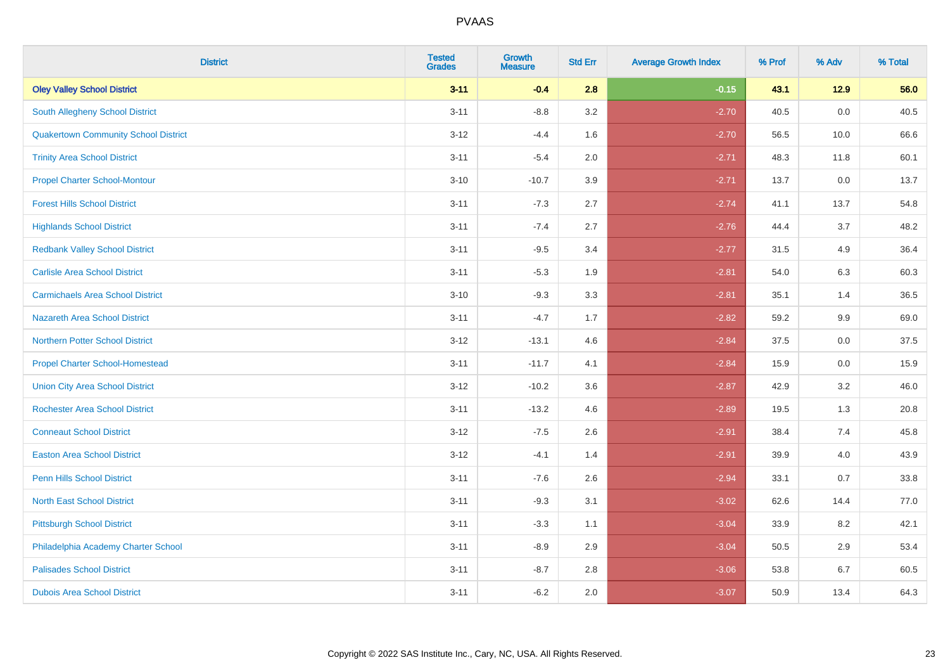| <b>District</b>                             | <b>Tested</b><br><b>Grades</b> | <b>Growth</b><br><b>Measure</b> | <b>Std Err</b> | <b>Average Growth Index</b> | % Prof | % Adv | % Total |
|---------------------------------------------|--------------------------------|---------------------------------|----------------|-----------------------------|--------|-------|---------|
| <b>Oley Valley School District</b>          | $3 - 11$                       | $-0.4$                          | 2.8            | $-0.15$                     | 43.1   | 12.9  | 56.0    |
| <b>South Allegheny School District</b>      | $3 - 11$                       | $-8.8$                          | 3.2            | $-2.70$                     | 40.5   | 0.0   | 40.5    |
| <b>Quakertown Community School District</b> | $3 - 12$                       | $-4.4$                          | 1.6            | $-2.70$                     | 56.5   | 10.0  | 66.6    |
| <b>Trinity Area School District</b>         | $3 - 11$                       | $-5.4$                          | 2.0            | $-2.71$                     | 48.3   | 11.8  | 60.1    |
| <b>Propel Charter School-Montour</b>        | $3 - 10$                       | $-10.7$                         | 3.9            | $-2.71$                     | 13.7   | 0.0   | 13.7    |
| <b>Forest Hills School District</b>         | $3 - 11$                       | $-7.3$                          | 2.7            | $-2.74$                     | 41.1   | 13.7  | 54.8    |
| <b>Highlands School District</b>            | $3 - 11$                       | $-7.4$                          | 2.7            | $-2.76$                     | 44.4   | 3.7   | 48.2    |
| <b>Redbank Valley School District</b>       | $3 - 11$                       | $-9.5$                          | 3.4            | $-2.77$                     | 31.5   | 4.9   | 36.4    |
| <b>Carlisle Area School District</b>        | $3 - 11$                       | $-5.3$                          | 1.9            | $-2.81$                     | 54.0   | 6.3   | 60.3    |
| <b>Carmichaels Area School District</b>     | $3 - 10$                       | $-9.3$                          | 3.3            | $-2.81$                     | 35.1   | 1.4   | 36.5    |
| Nazareth Area School District               | $3 - 11$                       | $-4.7$                          | 1.7            | $-2.82$                     | 59.2   | 9.9   | 69.0    |
| <b>Northern Potter School District</b>      | $3 - 12$                       | $-13.1$                         | 4.6            | $-2.84$                     | 37.5   | 0.0   | 37.5    |
| <b>Propel Charter School-Homestead</b>      | $3 - 11$                       | $-11.7$                         | 4.1            | $-2.84$                     | 15.9   | 0.0   | 15.9    |
| <b>Union City Area School District</b>      | $3-12$                         | $-10.2$                         | 3.6            | $-2.87$                     | 42.9   | 3.2   | 46.0    |
| <b>Rochester Area School District</b>       | $3 - 11$                       | $-13.2$                         | 4.6            | $-2.89$                     | 19.5   | 1.3   | 20.8    |
| <b>Conneaut School District</b>             | $3 - 12$                       | $-7.5$                          | 2.6            | $-2.91$                     | 38.4   | 7.4   | 45.8    |
| <b>Easton Area School District</b>          | $3 - 12$                       | $-4.1$                          | 1.4            | $-2.91$                     | 39.9   | 4.0   | 43.9    |
| <b>Penn Hills School District</b>           | $3 - 11$                       | $-7.6$                          | 2.6            | $-2.94$                     | 33.1   | 0.7   | 33.8    |
| <b>North East School District</b>           | $3 - 11$                       | $-9.3$                          | 3.1            | $-3.02$                     | 62.6   | 14.4  | 77.0    |
| <b>Pittsburgh School District</b>           | $3 - 11$                       | $-3.3$                          | 1.1            | $-3.04$                     | 33.9   | 8.2   | 42.1    |
| Philadelphia Academy Charter School         | $3 - 11$                       | $-8.9$                          | 2.9            | $-3.04$                     | 50.5   | 2.9   | 53.4    |
| <b>Palisades School District</b>            | $3 - 11$                       | $-8.7$                          | 2.8            | $-3.06$                     | 53.8   | 6.7   | 60.5    |
| <b>Dubois Area School District</b>          | $3 - 11$                       | $-6.2$                          | 2.0            | $-3.07$                     | 50.9   | 13.4  | 64.3    |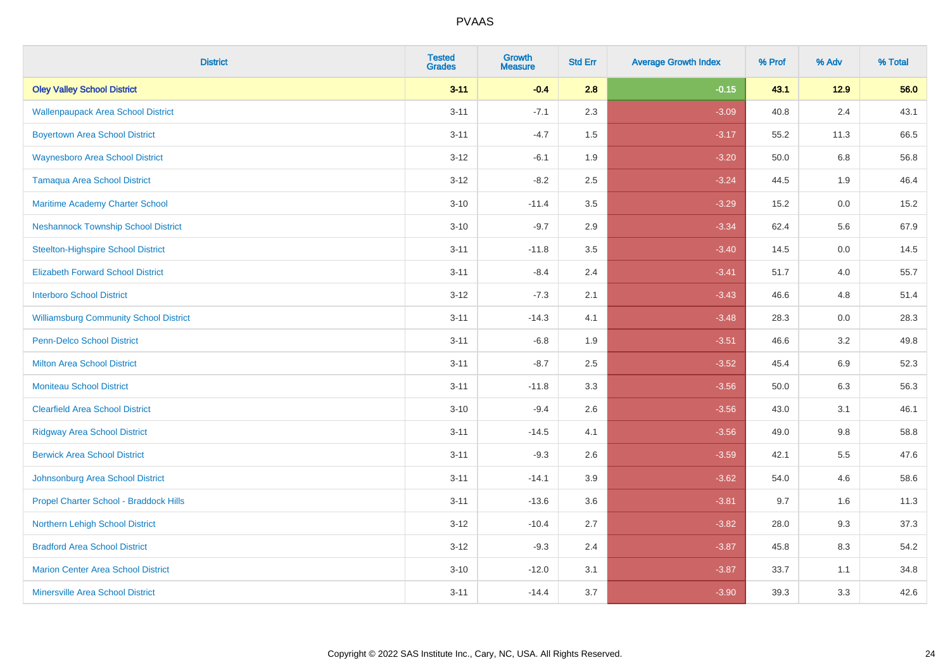| <b>District</b>                               | <b>Tested</b><br><b>Grades</b> | <b>Growth</b><br><b>Measure</b> | <b>Std Err</b> | <b>Average Growth Index</b> | % Prof | % Adv  | % Total |
|-----------------------------------------------|--------------------------------|---------------------------------|----------------|-----------------------------|--------|--------|---------|
| <b>Oley Valley School District</b>            | $3 - 11$                       | $-0.4$                          | 2.8            | $-0.15$                     | 43.1   | $12.9$ | 56.0    |
| <b>Wallenpaupack Area School District</b>     | $3 - 11$                       | $-7.1$                          | 2.3            | $-3.09$                     | 40.8   | 2.4    | 43.1    |
| <b>Boyertown Area School District</b>         | $3 - 11$                       | $-4.7$                          | 1.5            | $-3.17$                     | 55.2   | 11.3   | 66.5    |
| <b>Waynesboro Area School District</b>        | $3 - 12$                       | $-6.1$                          | 1.9            | $-3.20$                     | 50.0   | 6.8    | 56.8    |
| <b>Tamaqua Area School District</b>           | $3 - 12$                       | $-8.2$                          | 2.5            | $-3.24$                     | 44.5   | 1.9    | 46.4    |
| Maritime Academy Charter School               | $3 - 10$                       | $-11.4$                         | 3.5            | $-3.29$                     | 15.2   | 0.0    | 15.2    |
| <b>Neshannock Township School District</b>    | $3 - 10$                       | $-9.7$                          | 2.9            | $-3.34$                     | 62.4   | 5.6    | 67.9    |
| <b>Steelton-Highspire School District</b>     | $3 - 11$                       | $-11.8$                         | 3.5            | $-3.40$                     | 14.5   | 0.0    | 14.5    |
| <b>Elizabeth Forward School District</b>      | $3 - 11$                       | $-8.4$                          | 2.4            | $-3.41$                     | 51.7   | 4.0    | 55.7    |
| <b>Interboro School District</b>              | $3 - 12$                       | $-7.3$                          | 2.1            | $-3.43$                     | 46.6   | 4.8    | 51.4    |
| <b>Williamsburg Community School District</b> | $3 - 11$                       | $-14.3$                         | 4.1            | $-3.48$                     | 28.3   | 0.0    | 28.3    |
| <b>Penn-Delco School District</b>             | $3 - 11$                       | $-6.8$                          | 1.9            | $-3.51$                     | 46.6   | 3.2    | 49.8    |
| <b>Milton Area School District</b>            | $3 - 11$                       | $-8.7$                          | 2.5            | $-3.52$                     | 45.4   | 6.9    | 52.3    |
| <b>Moniteau School District</b>               | $3 - 11$                       | $-11.8$                         | 3.3            | $-3.56$                     | 50.0   | 6.3    | 56.3    |
| <b>Clearfield Area School District</b>        | $3 - 10$                       | $-9.4$                          | 2.6            | $-3.56$                     | 43.0   | 3.1    | 46.1    |
| <b>Ridgway Area School District</b>           | $3 - 11$                       | $-14.5$                         | 4.1            | $-3.56$                     | 49.0   | 9.8    | 58.8    |
| <b>Berwick Area School District</b>           | $3 - 11$                       | $-9.3$                          | 2.6            | $-3.59$                     | 42.1   | 5.5    | 47.6    |
| Johnsonburg Area School District              | $3 - 11$                       | $-14.1$                         | 3.9            | $-3.62$                     | 54.0   | 4.6    | 58.6    |
| Propel Charter School - Braddock Hills        | $3 - 11$                       | $-13.6$                         | 3.6            | $-3.81$                     | 9.7    | 1.6    | 11.3    |
| Northern Lehigh School District               | $3-12$                         | $-10.4$                         | 2.7            | $-3.82$                     | 28.0   | 9.3    | 37.3    |
| <b>Bradford Area School District</b>          | $3-12$                         | $-9.3$                          | 2.4            | $-3.87$                     | 45.8   | 8.3    | 54.2    |
| <b>Marion Center Area School District</b>     | $3 - 10$                       | $-12.0$                         | 3.1            | $-3.87$                     | 33.7   | 1.1    | 34.8    |
| <b>Minersville Area School District</b>       | $3 - 11$                       | $-14.4$                         | 3.7            | $-3.90$                     | 39.3   | 3.3    | 42.6    |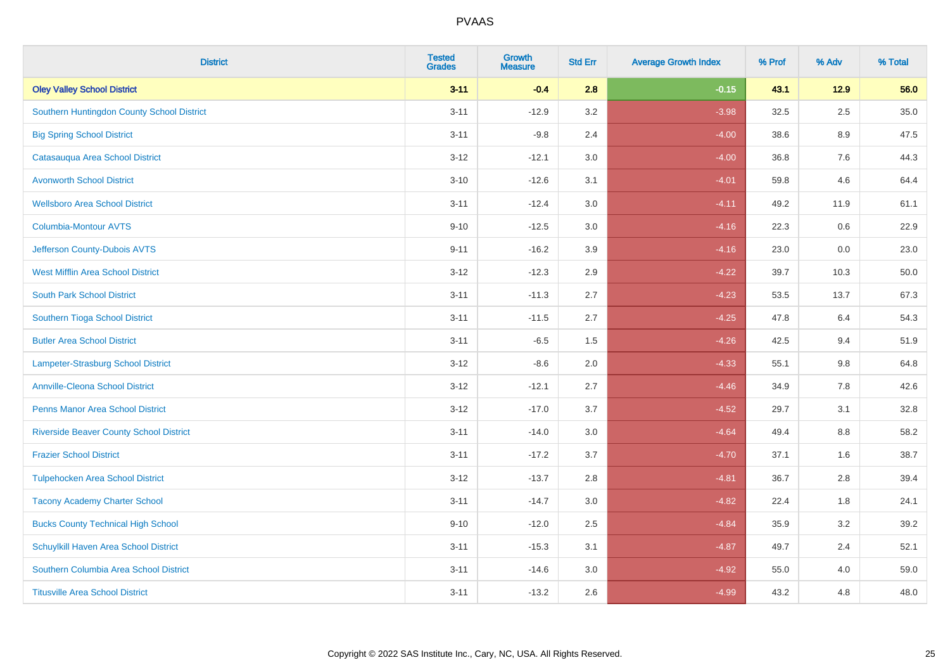| <b>District</b>                                | <b>Tested</b><br><b>Grades</b> | Growth<br><b>Measure</b> | <b>Std Err</b> | <b>Average Growth Index</b> | % Prof | % Adv   | % Total |
|------------------------------------------------|--------------------------------|--------------------------|----------------|-----------------------------|--------|---------|---------|
| <b>Oley Valley School District</b>             | $3 - 11$                       | $-0.4$                   | 2.8            | $-0.15$                     | 43.1   | $12.9$  | 56.0    |
| Southern Huntingdon County School District     | $3 - 11$                       | $-12.9$                  | 3.2            | $-3.98$                     | 32.5   | 2.5     | 35.0    |
| <b>Big Spring School District</b>              | $3 - 11$                       | $-9.8$                   | 2.4            | $-4.00$                     | 38.6   | 8.9     | 47.5    |
| Catasauqua Area School District                | $3 - 12$                       | $-12.1$                  | 3.0            | $-4.00$                     | 36.8   | $7.6\,$ | 44.3    |
| <b>Avonworth School District</b>               | $3 - 10$                       | $-12.6$                  | 3.1            | $-4.01$                     | 59.8   | 4.6     | 64.4    |
| <b>Wellsboro Area School District</b>          | $3 - 11$                       | $-12.4$                  | 3.0            | $-4.11$                     | 49.2   | 11.9    | 61.1    |
| Columbia-Montour AVTS                          | $9 - 10$                       | $-12.5$                  | 3.0            | $-4.16$                     | 22.3   | 0.6     | 22.9    |
| Jefferson County-Dubois AVTS                   | $9 - 11$                       | $-16.2$                  | 3.9            | $-4.16$                     | 23.0   | 0.0     | 23.0    |
| <b>West Mifflin Area School District</b>       | $3 - 12$                       | $-12.3$                  | 2.9            | $-4.22$                     | 39.7   | 10.3    | 50.0    |
| <b>South Park School District</b>              | $3 - 11$                       | $-11.3$                  | 2.7            | $-4.23$                     | 53.5   | 13.7    | 67.3    |
| Southern Tioga School District                 | $3 - 11$                       | $-11.5$                  | 2.7            | $-4.25$                     | 47.8   | 6.4     | 54.3    |
| <b>Butler Area School District</b>             | $3 - 11$                       | $-6.5$                   | 1.5            | $-4.26$                     | 42.5   | 9.4     | 51.9    |
| Lampeter-Strasburg School District             | $3 - 12$                       | $-8.6$                   | 2.0            | $-4.33$                     | 55.1   | 9.8     | 64.8    |
| <b>Annville-Cleona School District</b>         | $3 - 12$                       | $-12.1$                  | 2.7            | $-4.46$                     | 34.9   | $7.8\,$ | 42.6    |
| <b>Penns Manor Area School District</b>        | $3 - 12$                       | $-17.0$                  | 3.7            | $-4.52$                     | 29.7   | 3.1     | 32.8    |
| <b>Riverside Beaver County School District</b> | $3 - 11$                       | $-14.0$                  | 3.0            | $-4.64$                     | 49.4   | 8.8     | 58.2    |
| <b>Frazier School District</b>                 | $3 - 11$                       | $-17.2$                  | 3.7            | $-4.70$                     | 37.1   | 1.6     | 38.7    |
| <b>Tulpehocken Area School District</b>        | $3 - 12$                       | $-13.7$                  | 2.8            | $-4.81$                     | 36.7   | 2.8     | 39.4    |
| <b>Tacony Academy Charter School</b>           | $3 - 11$                       | $-14.7$                  | 3.0            | $-4.82$                     | 22.4   | 1.8     | 24.1    |
| <b>Bucks County Technical High School</b>      | $9 - 10$                       | $-12.0$                  | 2.5            | $-4.84$                     | 35.9   | 3.2     | 39.2    |
| Schuylkill Haven Area School District          | $3 - 11$                       | $-15.3$                  | 3.1            | $-4.87$                     | 49.7   | 2.4     | 52.1    |
| Southern Columbia Area School District         | $3 - 11$                       | $-14.6$                  | 3.0            | $-4.92$                     | 55.0   | 4.0     | 59.0    |
| <b>Titusville Area School District</b>         | $3 - 11$                       | $-13.2$                  | 2.6            | $-4.99$                     | 43.2   | 4.8     | 48.0    |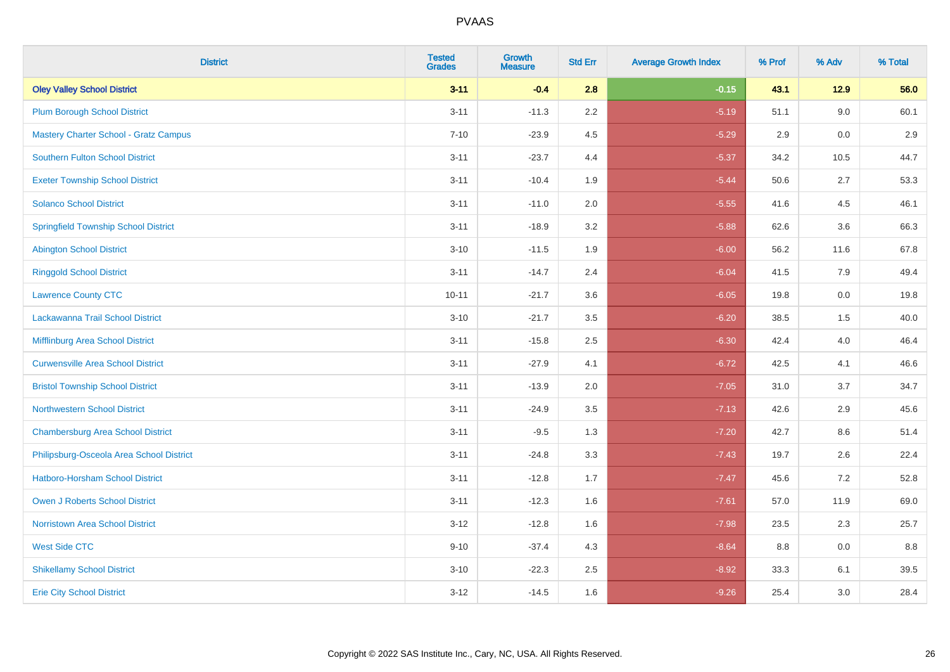| <b>District</b>                              | <b>Tested</b><br><b>Grades</b> | <b>Growth</b><br><b>Measure</b> | <b>Std Err</b> | <b>Average Growth Index</b> | % Prof | % Adv | % Total |
|----------------------------------------------|--------------------------------|---------------------------------|----------------|-----------------------------|--------|-------|---------|
| <b>Oley Valley School District</b>           | $3 - 11$                       | $-0.4$                          | 2.8            | $-0.15$                     | 43.1   | 12.9  | 56.0    |
| <b>Plum Borough School District</b>          | $3 - 11$                       | $-11.3$                         | 2.2            | $-5.19$                     | 51.1   | 9.0   | 60.1    |
| <b>Mastery Charter School - Gratz Campus</b> | $7 - 10$                       | $-23.9$                         | 4.5            | $-5.29$                     | 2.9    | 0.0   | 2.9     |
| <b>Southern Fulton School District</b>       | $3 - 11$                       | $-23.7$                         | 4.4            | $-5.37$                     | 34.2   | 10.5  | 44.7    |
| <b>Exeter Township School District</b>       | $3 - 11$                       | $-10.4$                         | 1.9            | $-5.44$                     | 50.6   | 2.7   | 53.3    |
| <b>Solanco School District</b>               | $3 - 11$                       | $-11.0$                         | 2.0            | $-5.55$                     | 41.6   | 4.5   | 46.1    |
| <b>Springfield Township School District</b>  | $3 - 11$                       | $-18.9$                         | 3.2            | $-5.88$                     | 62.6   | 3.6   | 66.3    |
| <b>Abington School District</b>              | $3 - 10$                       | $-11.5$                         | 1.9            | $-6.00$                     | 56.2   | 11.6  | 67.8    |
| <b>Ringgold School District</b>              | $3 - 11$                       | $-14.7$                         | 2.4            | $-6.04$                     | 41.5   | 7.9   | 49.4    |
| <b>Lawrence County CTC</b>                   | $10 - 11$                      | $-21.7$                         | 3.6            | $-6.05$                     | 19.8   | 0.0   | 19.8    |
| Lackawanna Trail School District             | $3 - 10$                       | $-21.7$                         | 3.5            | $-6.20$                     | 38.5   | 1.5   | 40.0    |
| Mifflinburg Area School District             | $3 - 11$                       | $-15.8$                         | 2.5            | $-6.30$                     | 42.4   | 4.0   | 46.4    |
| <b>Curwensville Area School District</b>     | $3 - 11$                       | $-27.9$                         | 4.1            | $-6.72$                     | 42.5   | 4.1   | 46.6    |
| <b>Bristol Township School District</b>      | $3 - 11$                       | $-13.9$                         | 2.0            | $-7.05$                     | 31.0   | 3.7   | 34.7    |
| <b>Northwestern School District</b>          | $3 - 11$                       | $-24.9$                         | 3.5            | $-7.13$                     | 42.6   | 2.9   | 45.6    |
| <b>Chambersburg Area School District</b>     | $3 - 11$                       | $-9.5$                          | 1.3            | $-7.20$                     | 42.7   | 8.6   | 51.4    |
| Philipsburg-Osceola Area School District     | $3 - 11$                       | $-24.8$                         | 3.3            | $-7.43$                     | 19.7   | 2.6   | 22.4    |
| <b>Hatboro-Horsham School District</b>       | $3 - 11$                       | $-12.8$                         | 1.7            | $-7.47$                     | 45.6   | 7.2   | 52.8    |
| <b>Owen J Roberts School District</b>        | $3 - 11$                       | $-12.3$                         | 1.6            | $-7.61$                     | 57.0   | 11.9  | 69.0    |
| <b>Norristown Area School District</b>       | $3 - 12$                       | $-12.8$                         | 1.6            | $-7.98$                     | 23.5   | 2.3   | 25.7    |
| <b>West Side CTC</b>                         | $9 - 10$                       | $-37.4$                         | 4.3            | $-8.64$                     | 8.8    | 0.0   | 8.8     |
| <b>Shikellamy School District</b>            | $3 - 10$                       | $-22.3$                         | 2.5            | $-8.92$                     | 33.3   | 6.1   | 39.5    |
| <b>Erie City School District</b>             | $3 - 12$                       | $-14.5$                         | 1.6            | $-9.26$                     | 25.4   | 3.0   | 28.4    |